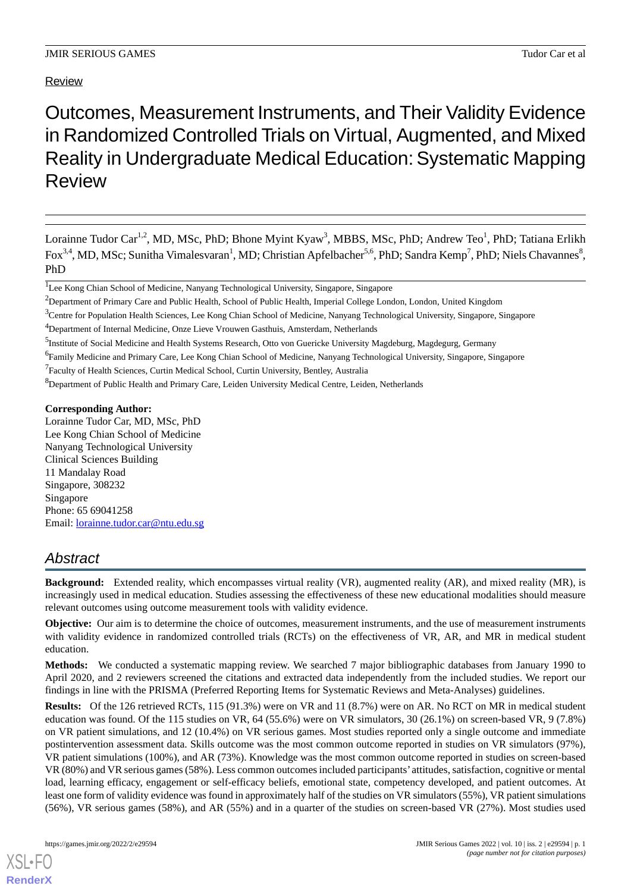# Review

# Outcomes, Measurement Instruments, and Their Validity Evidence in Randomized Controlled Trials on Virtual, Augmented, and Mixed Reality in Undergraduate Medical Education:Systematic Mapping **Review**

Lorainne Tudor Car<sup>1,2</sup>, MD, MSc, PhD; Bhone Myint Kyaw<sup>3</sup>, MBBS, MSc, PhD; Andrew Teo<sup>1</sup>, PhD; Tatiana Erlikh Fox<sup>3,4</sup>, MD, MSc; Sunitha Vimalesvaran<sup>1</sup>, MD; Christian Apfelbacher<sup>5,6</sup>, PhD; Sandra Kemp<sup>7</sup>, PhD; Niels Chavannes<sup>8</sup>, PhD

<sup>8</sup>Department of Public Health and Primary Care, Leiden University Medical Centre, Leiden, Netherlands

**Corresponding Author:**

Lorainne Tudor Car, MD, MSc, PhD Lee Kong Chian School of Medicine Nanyang Technological University Clinical Sciences Building 11 Mandalay Road Singapore, 308232 Singapore Phone: 65 69041258 Email: [lorainne.tudor.car@ntu.edu.sg](mailto:lorainne.tudor.car@ntu.edu.sg)

# *Abstract*

**Background:** Extended reality, which encompasses virtual reality (VR), augmented reality (AR), and mixed reality (MR), is increasingly used in medical education. Studies assessing the effectiveness of these new educational modalities should measure relevant outcomes using outcome measurement tools with validity evidence.

**Objective:** Our aim is to determine the choice of outcomes, measurement instruments, and the use of measurement instruments with validity evidence in randomized controlled trials (RCTs) on the effectiveness of VR, AR, and MR in medical student education.

**Methods:** We conducted a systematic mapping review. We searched 7 major bibliographic databases from January 1990 to April 2020, and 2 reviewers screened the citations and extracted data independently from the included studies. We report our findings in line with the PRISMA (Preferred Reporting Items for Systematic Reviews and Meta-Analyses) guidelines.

**Results:** Of the 126 retrieved RCTs, 115 (91.3%) were on VR and 11 (8.7%) were on AR. No RCT on MR in medical student education was found. Of the 115 studies on VR, 64 (55.6%) were on VR simulators, 30 (26.1%) on screen-based VR, 9 (7.8%) on VR patient simulations, and 12 (10.4%) on VR serious games. Most studies reported only a single outcome and immediate postintervention assessment data. Skills outcome was the most common outcome reported in studies on VR simulators (97%), VR patient simulations (100%), and AR (73%). Knowledge was the most common outcome reported in studies on screen-based VR (80%) and VR serious games (58%). Less common outcomes included participants' attitudes, satisfaction, cognitive or mental load, learning efficacy, engagement or self-efficacy beliefs, emotional state, competency developed, and patient outcomes. At least one form of validity evidence was found in approximately half of the studies on VR simulators (55%), VR patient simulations (56%), VR serious games (58%), and AR (55%) and in a quarter of the studies on screen-based VR (27%). Most studies used

<sup>&</sup>lt;sup>1</sup>Lee Kong Chian School of Medicine, Nanyang Technological University, Singapore, Singapore

<sup>&</sup>lt;sup>2</sup>Department of Primary Care and Public Health, School of Public Health, Imperial College London, London, United Kingdom

<sup>&</sup>lt;sup>3</sup>Centre for Population Health Sciences, Lee Kong Chian School of Medicine, Nanyang Technological University, Singapore, Singapore

<sup>4</sup>Department of Internal Medicine, Onze Lieve Vrouwen Gasthuis, Amsterdam, Netherlands

<sup>&</sup>lt;sup>5</sup>Institute of Social Medicine and Health Systems Research, Otto von Guericke University Magdeburg, Magdegurg, Germany

<sup>&</sup>lt;sup>6</sup>Family Medicine and Primary Care, Lee Kong Chian School of Medicine, Nanyang Technological University, Singapore, Singapore

<sup>&</sup>lt;sup>7</sup> Faculty of Health Sciences, Curtin Medical School, Curtin University, Bentley, Australia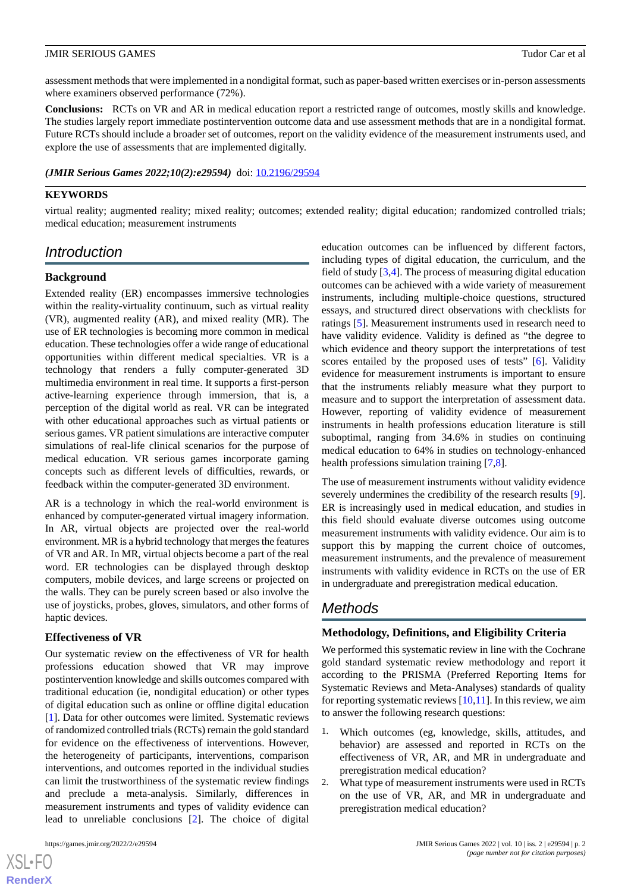assessment methods that were implemented in a nondigital format, such as paper-based written exercises or in-person assessments where examiners observed performance (72%).

**Conclusions:** RCTs on VR and AR in medical education report a restricted range of outcomes, mostly skills and knowledge. The studies largely report immediate postintervention outcome data and use assessment methods that are in a nondigital format. Future RCTs should include a broader set of outcomes, report on the validity evidence of the measurement instruments used, and explore the use of assessments that are implemented digitally.

*(JMIR Serious Games 2022;10(2):e29594)* doi: [10.2196/29594](http://dx.doi.org/10.2196/29594)

#### **KEYWORDS**

virtual reality; augmented reality; mixed reality; outcomes; extended reality; digital education; randomized controlled trials; medical education; measurement instruments

# *Introduction*

# **Background**

Extended reality (ER) encompasses immersive technologies within the reality-virtuality continuum, such as virtual reality (VR), augmented reality (AR), and mixed reality (MR). The use of ER technologies is becoming more common in medical education. These technologies offer a wide range of educational opportunities within different medical specialties. VR is a technology that renders a fully computer-generated 3D multimedia environment in real time. It supports a first-person active-learning experience through immersion, that is, a perception of the digital world as real. VR can be integrated with other educational approaches such as virtual patients or serious games. VR patient simulations are interactive computer simulations of real-life clinical scenarios for the purpose of medical education. VR serious games incorporate gaming concepts such as different levels of difficulties, rewards, or feedback within the computer-generated 3D environment.

AR is a technology in which the real-world environment is enhanced by computer-generated virtual imagery information. In AR, virtual objects are projected over the real-world environment. MR is a hybrid technology that merges the features of VR and AR. In MR, virtual objects become a part of the real word. ER technologies can be displayed through desktop computers, mobile devices, and large screens or projected on the walls. They can be purely screen based or also involve the use of joysticks, probes, gloves, simulators, and other forms of haptic devices.

#### **Effectiveness of VR**

Our systematic review on the effectiveness of VR for health professions education showed that VR may improve postintervention knowledge and skills outcomes compared with traditional education (ie, nondigital education) or other types of digital education such as online or offline digital education [[1\]](#page-8-0). Data for other outcomes were limited. Systematic reviews of randomized controlled trials (RCTs) remain the gold standard for evidence on the effectiveness of interventions. However, the heterogeneity of participants, interventions, comparison interventions, and outcomes reported in the individual studies can limit the trustworthiness of the systematic review findings and preclude a meta-analysis. Similarly, differences in measurement instruments and types of validity evidence can lead to unreliable conclusions [\[2](#page-8-1)]. The choice of digital

[XSL](http://www.w3.org/Style/XSL)•FO **[RenderX](http://www.renderx.com/)**

education outcomes can be influenced by different factors, including types of digital education, the curriculum, and the field of study [[3,](#page-8-2)[4](#page-8-3)]. The process of measuring digital education outcomes can be achieved with a wide variety of measurement instruments, including multiple-choice questions, structured essays, and structured direct observations with checklists for ratings [[5\]](#page-8-4). Measurement instruments used in research need to have validity evidence. Validity is defined as "the degree to which evidence and theory support the interpretations of test scores entailed by the proposed uses of tests" [[6\]](#page-8-5). Validity evidence for measurement instruments is important to ensure that the instruments reliably measure what they purport to measure and to support the interpretation of assessment data. However, reporting of validity evidence of measurement instruments in health professions education literature is still suboptimal, ranging from 34.6% in studies on continuing medical education to 64% in studies on technology-enhanced health professions simulation training [\[7](#page-8-6),[8\]](#page-8-7).

The use of measurement instruments without validity evidence severely undermines the credibility of the research results [[9\]](#page-8-8). ER is increasingly used in medical education, and studies in this field should evaluate diverse outcomes using outcome measurement instruments with validity evidence. Our aim is to support this by mapping the current choice of outcomes, measurement instruments, and the prevalence of measurement instruments with validity evidence in RCTs on the use of ER in undergraduate and preregistration medical education.

# *Methods*

#### **Methodology, Definitions, and Eligibility Criteria**

We performed this systematic review in line with the Cochrane gold standard systematic review methodology and report it according to the PRISMA (Preferred Reporting Items for Systematic Reviews and Meta-Analyses) standards of quality for reporting systematic reviews [\[10](#page-9-0),[11\]](#page-9-1). In this review, we aim to answer the following research questions:

- 1. Which outcomes (eg, knowledge, skills, attitudes, and behavior) are assessed and reported in RCTs on the effectiveness of VR, AR, and MR in undergraduate and preregistration medical education?
- 2. What type of measurement instruments were used in RCTs on the use of VR, AR, and MR in undergraduate and preregistration medical education?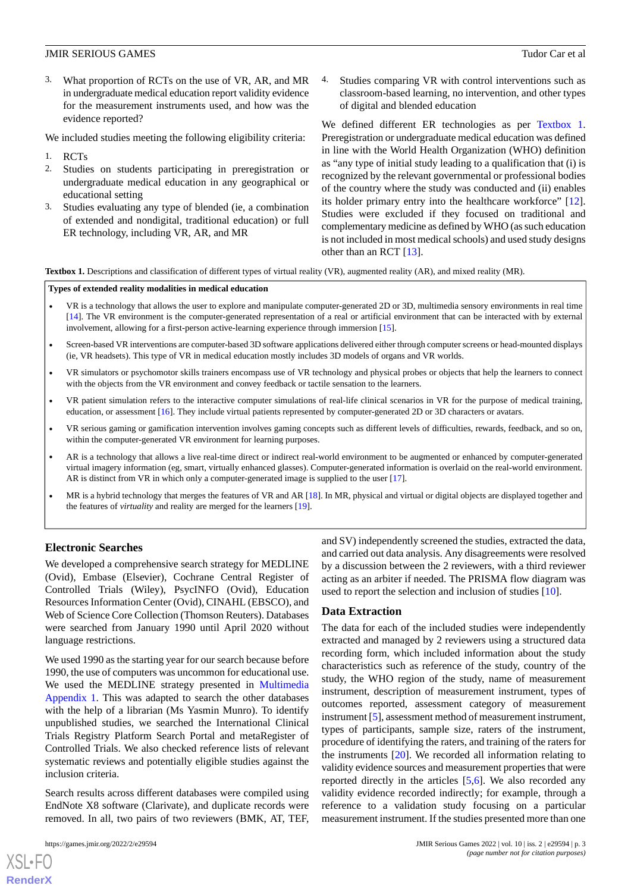3. What proportion of RCTs on the use of VR, AR, and MR in undergraduate medical education report validity evidence for the measurement instruments used, and how was the evidence reported?

We included studies meeting the following eligibility criteria:

- 1. RCTs
- 2. Studies on students participating in preregistration or undergraduate medical education in any geographical or educational setting
- 3. Studies evaluating any type of blended (ie, a combination of extended and nondigital, traditional education) or full ER technology, including VR, AR, and MR

4. Studies comparing VR with control interventions such as classroom-based learning, no intervention, and other types of digital and blended education

We defined different ER technologies as per [Textbox 1](#page-2-0). Preregistration or undergraduate medical education was defined in line with the World Health Organization (WHO) definition as "any type of initial study leading to a qualification that (i) is recognized by the relevant governmental or professional bodies of the country where the study was conducted and (ii) enables its holder primary entry into the healthcare workforce" [[12\]](#page-9-2). Studies were excluded if they focused on traditional and complementary medicine as defined by WHO (as such education is not included in most medical schools) and used study designs other than an RCT [[13\]](#page-9-3).

<span id="page-2-0"></span>**Textbox 1.** Descriptions and classification of different types of virtual reality (VR), augmented reality (AR), and mixed reality (MR).

#### **Types of extended reality modalities in medical education**

- VR is a technology that allows the user to explore and manipulate computer-generated 2D or 3D, multimedia sensory environments in real time [\[14\]](#page-9-4). The VR environment is the computer-generated representation of a real or artificial environment that can be interacted with by external involvement, allowing for a first-person active-learning experience through immersion [[15](#page-9-5)].
- Screen-based VR interventions are computer-based 3D software applications delivered either through computer screens or head-mounted displays (ie, VR headsets). This type of VR in medical education mostly includes 3D models of organs and VR worlds.
- VR simulators or psychomotor skills trainers encompass use of VR technology and physical probes or objects that help the learners to connect with the objects from the VR environment and convey feedback or tactile sensation to the learners.
- VR patient simulation refers to the interactive computer simulations of real-life clinical scenarios in VR for the purpose of medical training, education, or assessment [[16](#page-9-6)]. They include virtual patients represented by computer-generated 2D or 3D characters or avatars.
- VR serious gaming or gamification intervention involves gaming concepts such as different levels of difficulties, rewards, feedback, and so on, within the computer-generated VR environment for learning purposes.
- AR is a technology that allows a live real-time direct or indirect real-world environment to be augmented or enhanced by computer-generated virtual imagery information (eg, smart, virtually enhanced glasses). Computer-generated information is overlaid on the real-world environment. AR is distinct from VR in which only a computer-generated image is supplied to the user [[17](#page-9-7)].
- MR is a hybrid technology that merges the features of VR and AR [\[18\]](#page-9-8). In MR, physical and virtual or digital objects are displayed together and the features of *virtuality* and reality are merged for the learners [\[19\]](#page-9-9).

#### **Electronic Searches**

We developed a comprehensive search strategy for MEDLINE (Ovid), Embase (Elsevier), Cochrane Central Register of Controlled Trials (Wiley), PsycINFO (Ovid), Education Resources Information Center (Ovid), CINAHL (EBSCO), and Web of Science Core Collection (Thomson Reuters). Databases were searched from January 1990 until April 2020 without language restrictions.

We used 1990 as the starting year for our search because before 1990, the use of computers was uncommon for educational use. We used the MEDLINE strategy presented in [Multimedia](#page-8-9) [Appendix 1.](#page-8-9) This was adapted to search the other databases with the help of a librarian (Ms Yasmin Munro). To identify unpublished studies, we searched the International Clinical Trials Registry Platform Search Portal and metaRegister of Controlled Trials. We also checked reference lists of relevant systematic reviews and potentially eligible studies against the inclusion criteria.

Search results across different databases were compiled using EndNote X8 software (Clarivate), and duplicate records were removed. In all, two pairs of two reviewers (BMK, AT, TEF,

 $XS$  $\cdot$ FC **[RenderX](http://www.renderx.com/)** and SV) independently screened the studies, extracted the data, and carried out data analysis. Any disagreements were resolved by a discussion between the 2 reviewers, with a third reviewer acting as an arbiter if needed. The PRISMA flow diagram was used to report the selection and inclusion of studies [\[10](#page-9-0)].

#### **Data Extraction**

The data for each of the included studies were independently extracted and managed by 2 reviewers using a structured data recording form, which included information about the study characteristics such as reference of the study, country of the study, the WHO region of the study, name of measurement instrument, description of measurement instrument, types of outcomes reported, assessment category of measurement instrument [[5](#page-8-4)], assessment method of measurement instrument, types of participants, sample size, raters of the instrument, procedure of identifying the raters, and training of the raters for the instruments [[20\]](#page-9-10). We recorded all information relating to validity evidence sources and measurement properties that were reported directly in the articles [[5](#page-8-4)[,6](#page-8-5)]. We also recorded any validity evidence recorded indirectly; for example, through a reference to a validation study focusing on a particular measurement instrument. If the studies presented more than one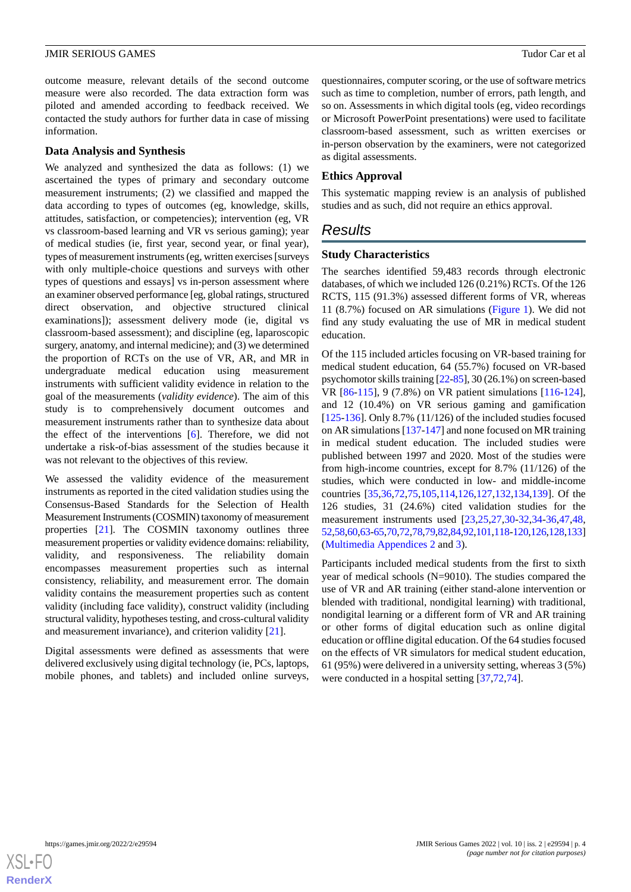outcome measure, relevant details of the second outcome measure were also recorded. The data extraction form was piloted and amended according to feedback received. We contacted the study authors for further data in case of missing information.

# **Data Analysis and Synthesis**

We analyzed and synthesized the data as follows: (1) we ascertained the types of primary and secondary outcome measurement instruments; (2) we classified and mapped the data according to types of outcomes (eg, knowledge, skills, attitudes, satisfaction, or competencies); intervention (eg, VR vs classroom-based learning and VR vs serious gaming); year of medical studies (ie, first year, second year, or final year), types of measurement instruments (eg, written exercises [surveys with only multiple-choice questions and surveys with other types of questions and essays] vs in-person assessment where an examiner observed performance [eg, global ratings, structured direct observation, and objective structured clinical examinations]); assessment delivery mode (ie, digital vs classroom-based assessment); and discipline (eg, laparoscopic surgery, anatomy, and internal medicine); and (3) we determined the proportion of RCTs on the use of VR, AR, and MR in undergraduate medical education using measurement instruments with sufficient validity evidence in relation to the goal of the measurements (*validity evidence*). The aim of this study is to comprehensively document outcomes and measurement instruments rather than to synthesize data about the effect of the interventions [\[6](#page-8-5)]. Therefore, we did not undertake a risk-of-bias assessment of the studies because it was not relevant to the objectives of this review.

We assessed the validity evidence of the measurement instruments as reported in the cited validation studies using the Consensus-Based Standards for the Selection of Health Measurement Instruments (COSMIN) taxonomy of measurement properties [\[21](#page-9-11)]. The COSMIN taxonomy outlines three measurement properties or validity evidence domains: reliability, validity, and responsiveness. The reliability domain encompasses measurement properties such as internal consistency, reliability, and measurement error. The domain validity contains the measurement properties such as content validity (including face validity), construct validity (including structural validity, hypotheses testing, and cross-cultural validity and measurement invariance), and criterion validity [\[21](#page-9-11)].

Digital assessments were defined as assessments that were delivered exclusively using digital technology (ie, PCs, laptops, mobile phones, and tablets) and included online surveys, questionnaires, computer scoring, or the use of software metrics such as time to completion, number of errors, path length, and so on. Assessments in which digital tools (eg, video recordings or Microsoft PowerPoint presentations) were used to facilitate classroom-based assessment, such as written exercises or in-person observation by the examiners, were not categorized as digital assessments.

# **Ethics Approval**

This systematic mapping review is an analysis of published studies and as such, did not require an ethics approval.

# *Results*

#### **Study Characteristics**

The searches identified 59,483 records through electronic databases, of which we included 126 (0.21%) RCTs. Of the 126 RCTS, 115 (91.3%) assessed different forms of VR, whereas 11 (8.7%) focused on AR simulations [\(Figure 1\)](#page-4-0). We did not find any study evaluating the use of MR in medical student education.

Of the 115 included articles focusing on VR-based training for medical student education, 64 (55.7%) focused on VR-based psychomotor skills training [[22](#page-9-12)-[85\]](#page-12-0), 30 (26.1%) on screen-based VR [\[86](#page-12-1)[-115](#page-13-0)], 9 (7.8%) on VR patient simulations [[116-](#page-13-1)[124\]](#page-14-0), and 12 (10.4%) on VR serious gaming and gamification [[125](#page-14-1)[-136](#page-14-2)]. Only 8.7% (11/126) of the included studies focused on AR simulations [[137-](#page-14-3)[147](#page-15-0)] and none focused on MR training in medical student education. The included studies were published between 1997 and 2020. Most of the studies were from high-income countries, except for 8.7% (11/126) of the studies, which were conducted in low- and middle-income countries [\[35](#page-10-0),[36,](#page-10-1)[72](#page-12-2),[75,](#page-12-3)[105](#page-13-2),[114,](#page-13-3)[126](#page-14-4),[127,](#page-14-5)[132](#page-14-6),[134,](#page-14-7)[139](#page-15-1)]. Of the 126 studies, 31 (24.6%) cited validation studies for the measurement instruments used [[23,](#page-9-13)[25](#page-9-14),[27,](#page-9-15)[30](#page-9-16)[-32](#page-10-2),[34](#page-10-3)[-36](#page-10-1),[47](#page-10-4)[,48](#page-10-5), [52](#page-11-0),[58](#page-11-1),[60,](#page-11-2)[63-](#page-11-3)[65](#page-11-4),[70,](#page-11-5)[72,](#page-12-2)[78,](#page-12-4)[79](#page-12-5)[,82](#page-12-6)[,84](#page-12-7)[,92](#page-12-8)[,101](#page-13-4)[,118](#page-14-8)[-120,](#page-14-9)[126,](#page-14-4)[128](#page-14-10)[,133\]](#page-14-11) ([Multimedia Appendices 2](#page-8-10) and [3](#page-8-11)).

Participants included medical students from the first to sixth year of medical schools (N=9010). The studies compared the use of VR and AR training (either stand-alone intervention or blended with traditional, nondigital learning) with traditional, nondigital learning or a different form of VR and AR training or other forms of digital education such as online digital education or offline digital education. Of the 64 studies focused on the effects of VR simulators for medical student education, 61 (95%) were delivered in a university setting, whereas 3 (5%) were conducted in a hospital setting [\[37](#page-10-6),[72,](#page-12-2)[74](#page-12-9)].

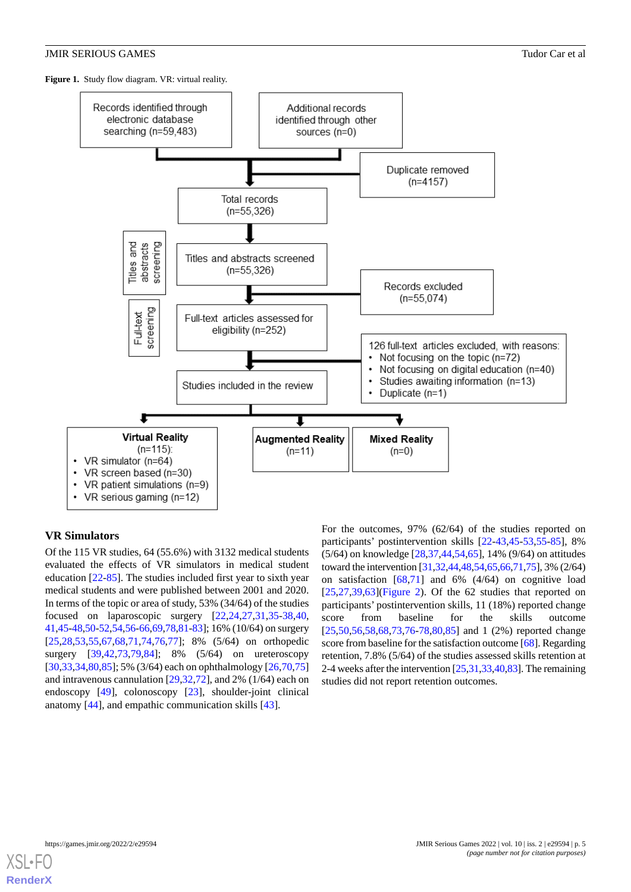<span id="page-4-0"></span>**Figure 1.** Study flow diagram. VR: virtual reality.



# **VR Simulators**

Of the 115 VR studies, 64 (55.6%) with 3132 medical students evaluated the effects of VR simulators in medical student education [\[22](#page-9-12)-[85\]](#page-12-0). The studies included first year to sixth year medical students and were published between 2001 and 2020. In terms of the topic or area of study, 53% (34/64) of the studies focused on laparoscopic surgery [\[22](#page-9-12),[24](#page-9-17)[,27](#page-9-15),[31](#page-10-7)[,35](#page-10-0)-[38,](#page-10-8)[40](#page-10-9), [41](#page-10-10),[45-](#page-10-11)[48](#page-10-5)[,50](#page-10-12)-[52](#page-11-0),[54,](#page-11-6)[56](#page-11-7)[-66](#page-11-8),[69,](#page-11-9)[78](#page-12-4)[,81](#page-12-10)-[83](#page-12-11)]; 16% (10/64) on surgery [[25](#page-9-14)[,28](#page-9-18),[53](#page-11-10)[,55](#page-11-11),[67](#page-11-12)[,68](#page-11-13),[71](#page-11-14)[,74](#page-12-9),[76](#page-12-12)[,77](#page-12-13)]; 8% (5/64) on orthopedic surgery [[39](#page-10-13)[,42](#page-10-14),[73](#page-12-14)[,79](#page-12-5),[84\]](#page-12-7); 8% (5/64) on ureteroscopy [[30](#page-9-16)[,33](#page-10-15),[34](#page-10-3)[,80](#page-12-15),[85\]](#page-12-0); 5% (3/64) each on ophthalmology [\[26](#page-9-19),[70](#page-11-5)[,75](#page-12-3)] and intravenous cannulation [[29,](#page-9-20)[32](#page-10-2),[72\]](#page-12-2), and 2% (1/64) each on endoscopy [[49\]](#page-10-16), colonoscopy [[23\]](#page-9-13), shoulder-joint clinical anatomy [[44\]](#page-10-17), and empathic communication skills [[43\]](#page-10-18).

For the outcomes, 97% (62/64) of the studies reported on participants' postintervention skills [\[22](#page-9-12)-[43](#page-10-18)[,45](#page-10-11)-[53,](#page-11-10)[55](#page-11-11)-[85\]](#page-12-0), 8% (5/64) on knowledge [[28,](#page-9-18)[37](#page-10-6),[44,](#page-10-17)[54](#page-11-6),[65\]](#page-11-4), 14% (9/64) on attitudes toward the intervention [\[31](#page-10-7),[32,](#page-10-2)[44](#page-10-17)[,48](#page-10-5),[54](#page-11-6),[65,](#page-11-4)[66,](#page-11-8)[71](#page-11-14)[,75](#page-12-3)], 3% (2/64) on satisfaction [\[68](#page-11-13),[71\]](#page-11-14) and 6% (4/64) on cognitive load  $[25,27,39,63]$  $[25,27,39,63]$  $[25,27,39,63]$  $[25,27,39,63]$  $[25,27,39,63]$  $[25,27,39,63]$ [\(Figure 2\)](#page-5-0). Of the 62 studies that reported on participants' postintervention skills, 11 (18%) reported change score from baseline for the skills outcome [[25,](#page-9-14)[50,](#page-10-12)[56](#page-11-7)[,58](#page-11-1),[68,](#page-11-13)[73,](#page-12-14)[76](#page-12-12)[-78](#page-12-4),[80](#page-12-15)[,85](#page-12-0)] and 1 (2%) reported change score from baseline for the satisfaction outcome [\[68](#page-11-13)]. Regarding retention, 7.8% (5/64) of the studies assessed skills retention at 2-4 weeks after the intervention [\[25](#page-9-14)[,31](#page-10-7)[,33](#page-10-15),[40](#page-10-9),[83\]](#page-12-11). The remaining studies did not report retention outcomes.

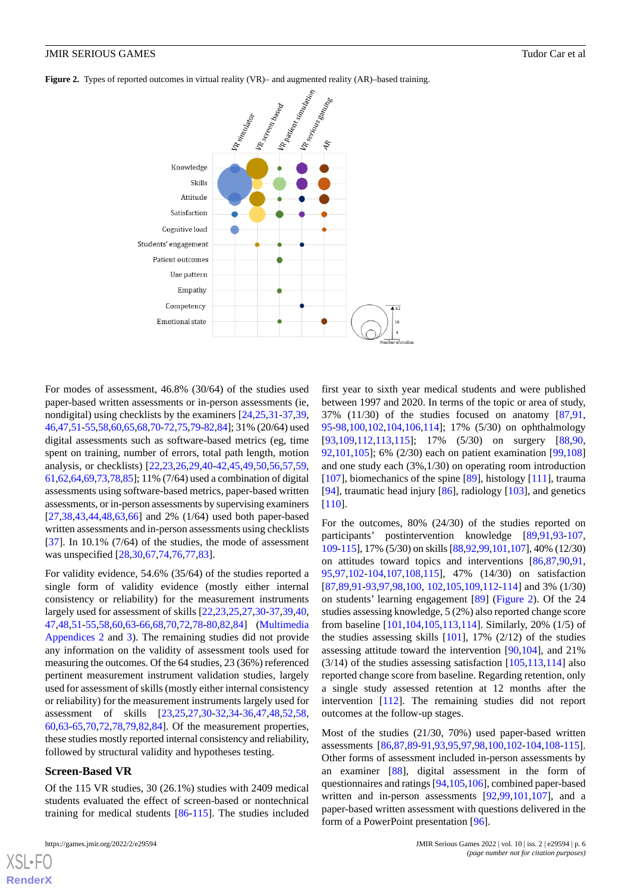<span id="page-5-0"></span>**Figure 2.** Types of reported outcomes in virtual reality (VR)– and augmented reality (AR)–based training.



For modes of assessment, 46.8% (30/64) of the studies used paper-based written assessments or in-person assessments (ie, nondigital) using checklists by the examiners [\[24](#page-9-17),[25](#page-9-14)[,31](#page-10-7)-[37,](#page-10-6)[39](#page-10-13), [46](#page-10-19),[47,](#page-10-4)[51](#page-11-15)[-55](#page-11-11)[,58](#page-11-1),[60,](#page-11-2)[65](#page-11-4)[,68](#page-11-13),[70-](#page-11-5)[72,](#page-12-2)[75](#page-12-3),[79](#page-12-5)-[82](#page-12-6),[84\]](#page-12-7); 31% (20/64) used digital assessments such as software-based metrics (eg, time spent on training, number of errors, total path length, motion analysis, or checklists) [[22](#page-9-12)[,23](#page-9-13),[26](#page-9-19)[,29](#page-9-20),[40-](#page-10-9)[42](#page-10-14),[45,](#page-10-11)[49](#page-10-16),[50,](#page-10-12)[56](#page-11-7),[57,](#page-11-16)[59](#page-11-17), [61](#page-11-18),[62,](#page-11-19)[64](#page-11-20)[,69](#page-11-9),[73](#page-12-14),[78,](#page-12-4)[85\]](#page-12-0); 11% (7/64) used a combination of digital assessments using software-based metrics, paper-based written assessments, or in-person assessments by supervising examiners [[27](#page-9-15)[,38](#page-10-8),[43](#page-10-18)[,44](#page-10-17),[48](#page-10-5)[,63](#page-11-3),[66\]](#page-11-8) and 2% (1/64) used both paper-based written assessments and in-person assessments using checklists  $[37]$  $[37]$ . In 10.1%  $(7/64)$  of the studies, the mode of assessment was unspecified [\[28](#page-9-18),[30,](#page-9-16)[67](#page-11-12),[74,](#page-12-9)[76](#page-12-12),[77,](#page-12-13)[83](#page-12-11)].

For validity evidence, 54.6% (35/64) of the studies reported a single form of validity evidence (mostly either internal consistency or reliability) for the measurement instruments largely used for assessment of skills [[22](#page-9-12)[,23](#page-9-13),[25](#page-9-14)[,27](#page-9-15),[30-](#page-9-16)[37](#page-10-6),[39,](#page-10-13)[40](#page-10-9), [47](#page-10-4)[,48](#page-10-5),[51-](#page-11-15)[55](#page-11-11)[,58](#page-11-1),[60](#page-11-2)[,63](#page-11-3)-[66,](#page-11-8)[68](#page-11-13),[70,](#page-11-5)[72](#page-12-2),[78-](#page-12-4)[80](#page-12-15),[82,](#page-12-6)[84](#page-12-7)] ([Multimedia](#page-8-10) [Appendices 2](#page-8-10) and [3\)](#page-8-11). The remaining studies did not provide any information on the validity of assessment tools used for measuring the outcomes. Of the 64 studies, 23 (36%) referenced pertinent measurement instrument validation studies, largely used for assessment of skills (mostly either internal consistency or reliability) for the measurement instruments largely used for assessment of skills [\[23](#page-9-13),[25,](#page-9-14)[27,](#page-9-15)[30](#page-9-16)[-32](#page-10-2),[34-](#page-10-3)[36](#page-10-1),[47,](#page-10-4)[48](#page-10-5),[52,](#page-11-0)[58](#page-11-1), [60](#page-11-2)[,63](#page-11-3)[-65](#page-11-4),[70](#page-11-5)[,72](#page-12-2),[78](#page-12-4)[,79](#page-12-5),[82](#page-12-6)[,84](#page-12-7)]. Of the measurement properties, these studies mostly reported internal consistency and reliability, followed by structural validity and hypotheses testing.

#### **Screen-Based VR**

Of the 115 VR studies, 30 (26.1%) studies with 2409 medical students evaluated the effect of screen-based or nontechnical training for medical students [\[86](#page-12-1)-[115\]](#page-13-0). The studies included

[XSL](http://www.w3.org/Style/XSL)•FO **[RenderX](http://www.renderx.com/)**

first year to sixth year medical students and were published between 1997 and 2020. In terms of the topic or area of study, 37% (11/30) of the studies focused on anatomy [[87](#page-12-16)[,91](#page-12-17), [95-](#page-13-5)[98,](#page-13-6)[100](#page-13-7),[102](#page-13-8)[,104,](#page-13-9)[106,](#page-13-10)[114](#page-13-3)]; 17% (5/30) on ophthalmology [[93,](#page-12-18)[109](#page-13-11),[112](#page-13-12)[,113,](#page-13-13)[115\]](#page-13-0); 17% (5/30) on surgery [[88](#page-12-19)[,90](#page-12-20), [92,](#page-12-8)[101](#page-13-4),[105\]](#page-13-2); 6% (2/30) each on patient examination [[99](#page-13-14)[,108](#page-13-15)] and one study each (3%,1/30) on operating room introduction [[107\]](#page-13-16), biomechanics of the spine [\[89](#page-12-21)], histology [[111\]](#page-13-17), trauma [[94\]](#page-13-18), traumatic head injury [[86\]](#page-12-1), radiology [[103\]](#page-13-19), and genetics [[110\]](#page-13-20).

For the outcomes, 80% (24/30) of the studies reported on participants' postintervention knowledge [[89](#page-12-21)[,91](#page-12-17),[93](#page-12-18)[-107](#page-13-16), [109](#page-13-11)-[115](#page-13-0)], 17% (5/30) on skills [[88](#page-12-19),[92,](#page-12-8)[99](#page-13-14)[,101](#page-13-4),[107](#page-13-16)], 40% (12/30) on attitudes toward topics and interventions [[86](#page-12-1)[,87](#page-12-16),[90](#page-12-20)[,91](#page-12-17), [95,](#page-13-5)[97](#page-13-21),[102-](#page-13-8)[104](#page-13-9)[,107,](#page-13-16)[108,](#page-13-15)[115](#page-13-0)], 47% (14/30) on satisfaction [[87,](#page-12-16)[89,](#page-12-21)[91](#page-12-17)[-93](#page-12-18),[97](#page-13-21)[,98](#page-13-6),[100,](#page-13-7) [102](#page-13-8),[105,](#page-13-2)[109](#page-13-11),[112-](#page-13-12)[114\]](#page-13-3) and 3% (1/30) on students' learning engagement [\[89](#page-12-21)] [\(Figure 2](#page-5-0)). Of the 24 studies assessing knowledge, 5 (2%) also reported change score from baseline [\[101](#page-13-4)[,104,](#page-13-9)[105](#page-13-2),[113](#page-13-13)[,114](#page-13-3)]. Similarly, 20% (1/5) of the studies assessing skills  $[101]$  $[101]$ , 17%  $(2/12)$  of the studies assessing attitude toward the intervention [[90,](#page-12-20)[104](#page-13-9)], and 21%  $(3/14)$  of the studies assessing satisfaction  $[105, 113, 114]$  $[105, 113, 114]$  $[105, 113, 114]$  $[105, 113, 114]$  also reported change score from baseline. Regarding retention, only a single study assessed retention at 12 months after the intervention [\[112](#page-13-12)]. The remaining studies did not report outcomes at the follow-up stages.

Most of the studies (21/30, 70%) used paper-based written assessments [\[86](#page-12-1),[87](#page-12-16)[,89](#page-12-21)-[91](#page-12-17)[,93](#page-12-18),[95](#page-13-5)[,97](#page-13-21),[98](#page-13-6)[,100](#page-13-7),[102-](#page-13-8)[104](#page-13-9),[108-](#page-13-15)[115\]](#page-13-0). Other forms of assessment included in-person assessments by an examiner [[88\]](#page-12-19), digital assessment in the form of questionnaires and ratings [\[94](#page-13-18),[105](#page-13-2)[,106](#page-13-10)], combined paper-based written and in-person assessments [[92,](#page-12-8)[99,](#page-13-14)[101,](#page-13-4)[107](#page-13-16)], and a paper-based written assessment with questions delivered in the form of a PowerPoint presentation [[96\]](#page-13-22).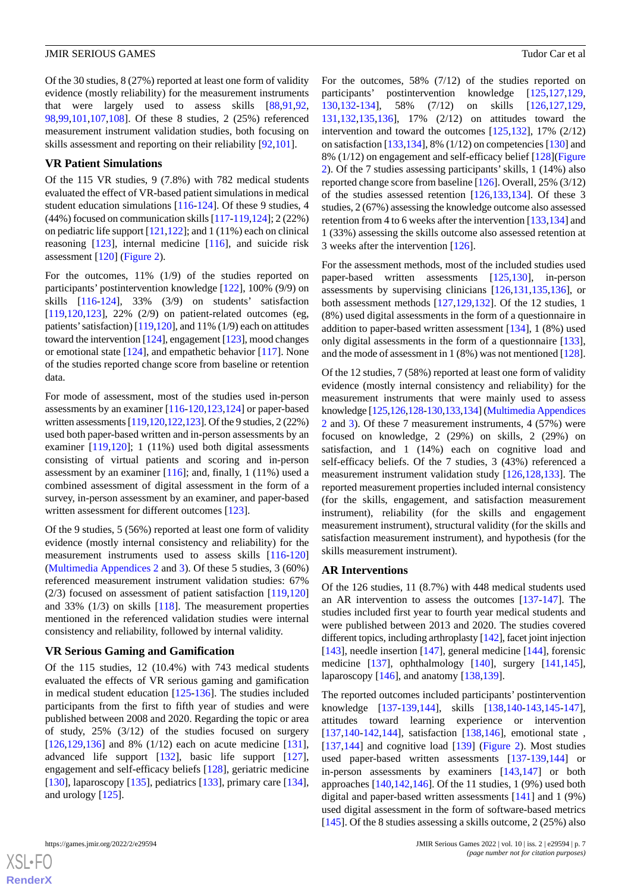Of the 30 studies, 8 (27%) reported at least one form of validity evidence (mostly reliability) for the measurement instruments that were largely used to assess skills [\[88](#page-12-19),[91,](#page-12-17)[92](#page-12-8), [98](#page-13-6)[,99](#page-13-14),[101](#page-13-4)[,107](#page-13-16)[,108\]](#page-13-15). Of these 8 studies, 2 (25%) referenced measurement instrument validation studies, both focusing on skills assessment and reporting on their reliability [\[92](#page-12-8),[101\]](#page-13-4).

#### **VR Patient Simulations**

Of the 115 VR studies, 9 (7.8%) with 782 medical students evaluated the effect of VR-based patient simulations in medical student education simulations [[116-](#page-13-1)[124](#page-14-0)]. Of these 9 studies, 4 (44%) focused on communication skills [\[117](#page-14-12)[-119](#page-14-13),[124](#page-14-0)]; 2 (22%) on pediatric life support [[121,](#page-14-14)[122\]](#page-14-15); and 1 (11%) each on clinical reasoning [\[123](#page-14-16)], internal medicine [\[116](#page-13-1)], and suicide risk assessment [[120\]](#page-14-9) ([Figure 2\)](#page-5-0).

For the outcomes, 11% (1/9) of the studies reported on participants' postintervention knowledge [[122\]](#page-14-15), 100% (9/9) on skills [\[116-](#page-13-1)[124\]](#page-14-0), 33% (3/9) on students' satisfaction [[119](#page-14-13)[,120](#page-14-9),[123\]](#page-14-16), 22% (2/9) on patient-related outcomes (eg, patients' satisfaction)  $[119,120]$  $[119,120]$  $[119,120]$ , and  $11\%$  (1/9) each on attitudes toward the intervention [[124\]](#page-14-0), engagement [\[123\]](#page-14-16), mood changes or emotional state [[124\]](#page-14-0), and empathetic behavior [[117\]](#page-14-12). None of the studies reported change score from baseline or retention data.

For mode of assessment, most of the studies used in-person assessments by an examiner [\[116](#page-13-1)-[120,](#page-14-9)[123](#page-14-16),[124\]](#page-14-0) or paper-based written assessments [[119](#page-14-13),[120](#page-14-9),[122](#page-14-15),[123](#page-14-16)]. Of the 9 studies, 2 (22%) used both paper-based written and in-person assessments by an examiner [\[119](#page-14-13),[120\]](#page-14-9); 1 (11%) used both digital assessments consisting of virtual patients and scoring and in-person assessment by an examiner [\[116](#page-13-1)]; and, finally, 1 (11%) used a combined assessment of digital assessment in the form of a survey, in-person assessment by an examiner, and paper-based written assessment for different outcomes [\[123](#page-14-16)].

Of the 9 studies, 5 (56%) reported at least one form of validity evidence (mostly internal consistency and reliability) for the measurement instruments used to assess skills [[116](#page-13-1)[-120](#page-14-9)] ([Multimedia Appendices 2](#page-8-10) and [3](#page-8-11)). Of these 5 studies, 3 (60%) referenced measurement instrument validation studies: 67% (2/3) focused on assessment of patient satisfaction [[119](#page-14-13)[,120](#page-14-9)] and 33% (1/3) on skills [[118\]](#page-14-8). The measurement properties mentioned in the referenced validation studies were internal consistency and reliability, followed by internal validity.

#### **VR Serious Gaming and Gamification**

Of the 115 studies, 12 (10.4%) with 743 medical students evaluated the effects of VR serious gaming and gamification in medical student education [\[125](#page-14-1)-[136\]](#page-14-2). The studies included participants from the first to fifth year of studies and were published between 2008 and 2020. Regarding the topic or area of study, 25% (3/12) of the studies focused on surgery [[126](#page-14-4)[,129](#page-14-17),[136\]](#page-14-2) and 8% (1/12) each on acute medicine [[131\]](#page-14-18), advanced life support [[132\]](#page-14-6), basic life support [[127\]](#page-14-5), engagement and self-efficacy beliefs [\[128](#page-14-10)], geriatric medicine [[130\]](#page-14-19), laparoscopy [\[135](#page-14-20)], pediatrics [\[133](#page-14-11)], primary care [[134\]](#page-14-7), and urology [\[125](#page-14-1)].

[XSL](http://www.w3.org/Style/XSL)•FO **[RenderX](http://www.renderx.com/)** For the outcomes, 58% (7/12) of the studies reported on participants' postintervention knowledge [\[125](#page-14-1),[127](#page-14-5)[,129](#page-14-17), [130,](#page-14-19)[132](#page-14-6)-[134](#page-14-7)], 58% (7/12) on skills [\[126](#page-14-4),[127](#page-14-5)[,129](#page-14-17), [131,](#page-14-18)[132](#page-14-6),[135,](#page-14-20)[136](#page-14-2)], 17% (2/12) on attitudes toward the intervention and toward the outcomes [[125](#page-14-1)[,132](#page-14-6)], 17% (2/12) on satisfaction [[133,](#page-14-11)[134](#page-14-7)], 8% (1/12) on competencies [\[130](#page-14-19)] and 8% (1/12) on engagement and self-efficacy belief [[128\]](#page-14-10)([Figure](#page-5-0) [2\)](#page-5-0). Of the 7 studies assessing participants'skills, 1 (14%) also reported change score from baseline [\[126](#page-14-4)]. Overall, 25% (3/12) of the studies assessed retention [\[126](#page-14-4),[133](#page-14-11)[,134](#page-14-7)]. Of these 3 studies, 2 (67%) assessing the knowledge outcome also assessed retention from 4 to 6 weeks after the intervention [[133,](#page-14-11)[134](#page-14-7)] and 1 (33%) assessing the skills outcome also assessed retention at 3 weeks after the intervention [\[126](#page-14-4)].

For the assessment methods, most of the included studies used paper-based written assessments [\[125](#page-14-1),[130\]](#page-14-19), in-person assessments by supervising clinicians [[126](#page-14-4)[,131](#page-14-18),[135](#page-14-20)[,136](#page-14-2)], or both assessment methods [[127,](#page-14-5)[129](#page-14-17),[132\]](#page-14-6). Of the 12 studies, 1 (8%) used digital assessments in the form of a questionnaire in addition to paper-based written assessment [\[134](#page-14-7)], 1 (8%) used only digital assessments in the form of a questionnaire [[133\]](#page-14-11), and the mode of assessment in 1 (8%) was not mentioned [[128\]](#page-14-10).

Of the 12 studies, 7 (58%) reported at least one form of validity evidence (mostly internal consistency and reliability) for the measurement instruments that were mainly used to assess knowledge [\[125,](#page-14-1)[126,](#page-14-4)[128-](#page-14-10)[130,](#page-14-19)[133](#page-14-11),[134](#page-14-7)] ([Multimedia Appendices](#page-8-10) [2](#page-8-10) and [3](#page-8-11)). Of these 7 measurement instruments, 4 (57%) were focused on knowledge, 2 (29%) on skills, 2 (29%) on satisfaction, and 1 (14%) each on cognitive load and self-efficacy beliefs. Of the 7 studies, 3 (43%) referenced a measurement instrument validation study [[126,](#page-14-4)[128](#page-14-10),[133\]](#page-14-11). The reported measurement properties included internal consistency (for the skills, engagement, and satisfaction measurement instrument), reliability (for the skills and engagement measurement instrument), structural validity (for the skills and satisfaction measurement instrument), and hypothesis (for the skills measurement instrument).

#### **AR Interventions**

Of the 126 studies, 11 (8.7%) with 448 medical students used an AR intervention to assess the outcomes [\[137](#page-14-3)-[147\]](#page-15-0). The studies included first year to fourth year medical students and were published between 2013 and 2020. The studies covered different topics, including arthroplasty [\[142\]](#page-15-2), facet joint injection [[143\]](#page-15-3), needle insertion [[147\]](#page-15-0), general medicine [\[144](#page-15-4)], forensic medicine [\[137](#page-14-3)], ophthalmology [[140\]](#page-15-5), surgery [\[141](#page-15-6),[145\]](#page-15-7), laparoscopy [[146\]](#page-15-8), and anatomy [\[138](#page-15-9),[139\]](#page-15-1).

The reported outcomes included participants' postintervention knowledge [\[137](#page-14-3)[-139](#page-15-1),[144\]](#page-15-4), skills [\[138](#page-15-9),[140-](#page-15-5)[143](#page-15-3),[145-](#page-15-7)[147\]](#page-15-0), attitudes toward learning experience or intervention [[137](#page-14-3)[,140-](#page-15-5)[142](#page-15-2)[,144](#page-15-4)], satisfaction [\[138](#page-15-9),[146\]](#page-15-8), emotional state , [[137](#page-14-3)[,144\]](#page-15-4) and cognitive load [\[139](#page-15-1)] ([Figure 2\)](#page-5-0). Most studies used paper-based written assessments [\[137](#page-14-3)-[139,](#page-15-1)[144](#page-15-4)] or in-person assessments by examiners [\[143](#page-15-3),[147\]](#page-15-0) or both approaches  $[140, 142, 146]$  $[140, 142, 146]$  $[140, 142, 146]$  $[140, 142, 146]$ . Of the 11 studies, 1 (9%) used both digital and paper-based written assessments [\[141](#page-15-6)] and 1 (9%) used digital assessment in the form of software-based metrics [[145\]](#page-15-7). Of the 8 studies assessing a skills outcome, 2 (25%) also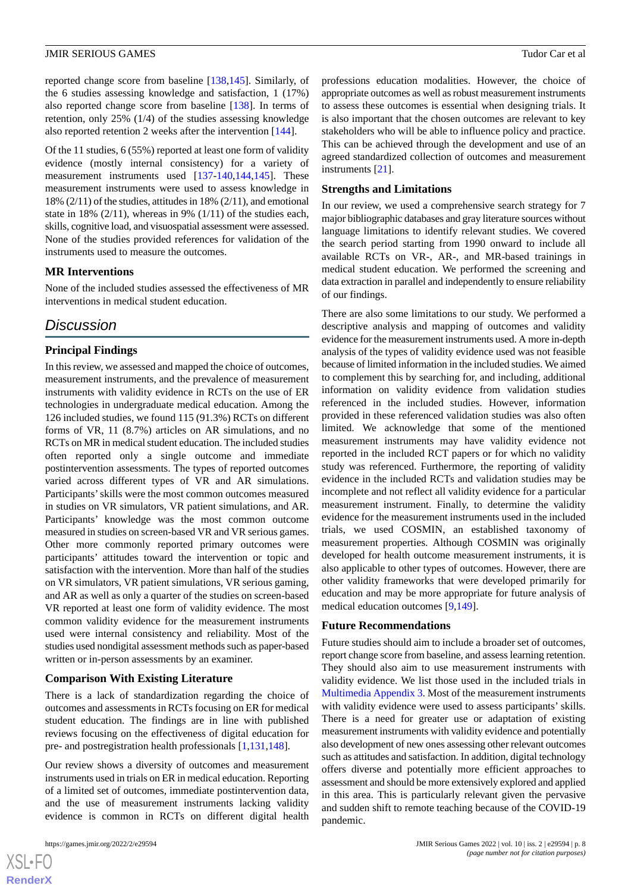reported change score from baseline [[138,](#page-15-9)[145](#page-15-7)]. Similarly, of the 6 studies assessing knowledge and satisfaction, 1 (17%) also reported change score from baseline [\[138](#page-15-9)]. In terms of retention, only 25% (1/4) of the studies assessing knowledge also reported retention 2 weeks after the intervention [[144](#page-15-4)].

Of the 11 studies, 6 (55%) reported at least one form of validity evidence (mostly internal consistency) for a variety of measurement instruments used [\[137](#page-14-3)-[140,](#page-15-5)[144](#page-15-4),[145\]](#page-15-7). These measurement instruments were used to assess knowledge in 18% (2/11) of the studies, attitudes in 18% (2/11), and emotional state in 18% (2/11), whereas in 9% (1/11) of the studies each, skills, cognitive load, and visuospatial assessment were assessed. None of the studies provided references for validation of the instruments used to measure the outcomes.

#### **MR Interventions**

None of the included studies assessed the effectiveness of MR interventions in medical student education.

# *Discussion*

#### **Principal Findings**

In this review, we assessed and mapped the choice of outcomes, measurement instruments, and the prevalence of measurement instruments with validity evidence in RCTs on the use of ER technologies in undergraduate medical education. Among the 126 included studies, we found 115 (91.3%) RCTs on different forms of VR, 11 (8.7%) articles on AR simulations, and no RCTs on MR in medical student education. The included studies often reported only a single outcome and immediate postintervention assessments. The types of reported outcomes varied across different types of VR and AR simulations. Participants'skills were the most common outcomes measured in studies on VR simulators, VR patient simulations, and AR. Participants' knowledge was the most common outcome measured in studies on screen-based VR and VR serious games. Other more commonly reported primary outcomes were participants' attitudes toward the intervention or topic and satisfaction with the intervention. More than half of the studies on VR simulators, VR patient simulations, VR serious gaming, and AR as well as only a quarter of the studies on screen-based VR reported at least one form of validity evidence. The most common validity evidence for the measurement instruments used were internal consistency and reliability. Most of the studies used nondigital assessment methods such as paper-based written or in-person assessments by an examiner.

#### **Comparison With Existing Literature**

There is a lack of standardization regarding the choice of outcomes and assessments in RCTs focusing on ER for medical student education. The findings are in line with published reviews focusing on the effectiveness of digital education for pre- and postregistration health professionals [\[1](#page-8-0),[131,](#page-14-18)[148](#page-15-10)].

Our review shows a diversity of outcomes and measurement instruments used in trials on ER in medical education. Reporting of a limited set of outcomes, immediate postintervention data, and the use of measurement instruments lacking validity evidence is common in RCTs on different digital health

professions education modalities. However, the choice of appropriate outcomes as well as robust measurement instruments to assess these outcomes is essential when designing trials. It is also important that the chosen outcomes are relevant to key stakeholders who will be able to influence policy and practice. This can be achieved through the development and use of an agreed standardized collection of outcomes and measurement instruments [\[21](#page-9-11)].

#### **Strengths and Limitations**

In our review, we used a comprehensive search strategy for 7 major bibliographic databases and gray literature sources without language limitations to identify relevant studies. We covered the search period starting from 1990 onward to include all available RCTs on VR-, AR-, and MR-based trainings in medical student education. We performed the screening and data extraction in parallel and independently to ensure reliability of our findings.

There are also some limitations to our study. We performed a descriptive analysis and mapping of outcomes and validity evidence for the measurement instruments used. A more in-depth analysis of the types of validity evidence used was not feasible because of limited information in the included studies. We aimed to complement this by searching for, and including, additional information on validity evidence from validation studies referenced in the included studies. However, information provided in these referenced validation studies was also often limited. We acknowledge that some of the mentioned measurement instruments may have validity evidence not reported in the included RCT papers or for which no validity study was referenced. Furthermore, the reporting of validity evidence in the included RCTs and validation studies may be incomplete and not reflect all validity evidence for a particular measurement instrument. Finally, to determine the validity evidence for the measurement instruments used in the included trials, we used COSMIN, an established taxonomy of measurement properties. Although COSMIN was originally developed for health outcome measurement instruments, it is also applicable to other types of outcomes. However, there are other validity frameworks that were developed primarily for education and may be more appropriate for future analysis of medical education outcomes [\[9](#page-8-8),[149\]](#page-15-11).

#### **Future Recommendations**

Future studies should aim to include a broader set of outcomes, report change score from baseline, and assess learning retention. They should also aim to use measurement instruments with validity evidence. We list those used in the included trials in [Multimedia Appendix 3.](#page-8-11) Most of the measurement instruments with validity evidence were used to assess participants' skills. There is a need for greater use or adaptation of existing measurement instruments with validity evidence and potentially also development of new ones assessing other relevant outcomes such as attitudes and satisfaction. In addition, digital technology offers diverse and potentially more efficient approaches to assessment and should be more extensively explored and applied in this area. This is particularly relevant given the pervasive and sudden shift to remote teaching because of the COVID-19 pandemic.

```
XS\cdotFC
RenderX
```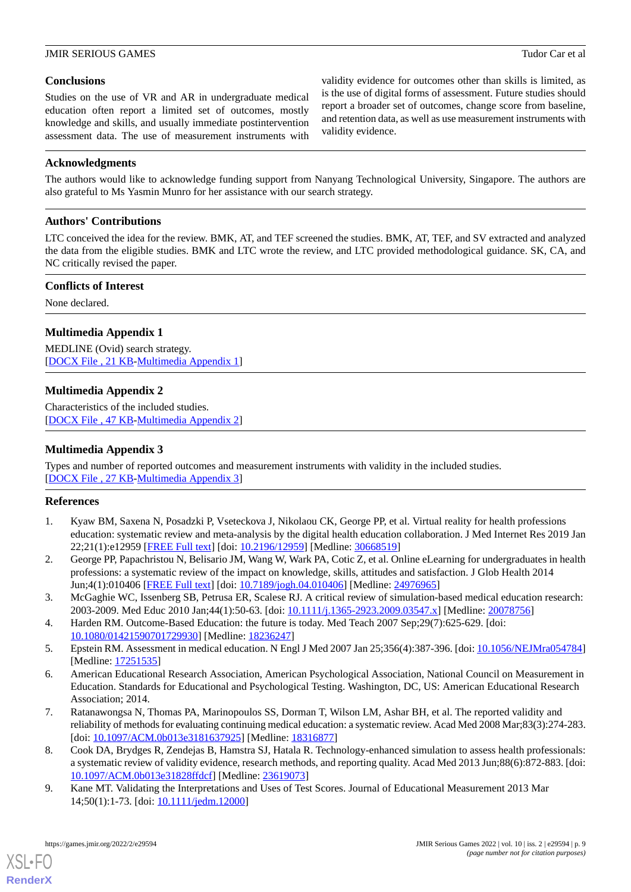# **Conclusions**

Studies on the use of VR and AR in undergraduate medical education often report a limited set of outcomes, mostly knowledge and skills, and usually immediate postintervention assessment data. The use of measurement instruments with

validity evidence for outcomes other than skills is limited, as is the use of digital forms of assessment. Future studies should report a broader set of outcomes, change score from baseline, and retention data, as well as use measurement instruments with validity evidence.

### **Acknowledgments**

The authors would like to acknowledge funding support from Nanyang Technological University, Singapore. The authors are also grateful to Ms Yasmin Munro for her assistance with our search strategy.

# **Authors' Contributions**

LTC conceived the idea for the review. BMK, AT, and TEF screened the studies. BMK, AT, TEF, and SV extracted and analyzed the data from the eligible studies. BMK and LTC wrote the review, and LTC provided methodological guidance. SK, CA, and NC critically revised the paper.

# **Conflicts of Interest**

<span id="page-8-9"></span>None declared.

# **Multimedia Appendix 1**

<span id="page-8-10"></span>MEDLINE (Ovid) search strategy. [[DOCX File , 21 KB](https://jmir.org/api/download?alt_name=games_v10i2e29594_app1.docx&filename=8db1cc0b41d1258d0b2187a190ab3e3a.docx)-[Multimedia Appendix 1\]](https://jmir.org/api/download?alt_name=games_v10i2e29594_app1.docx&filename=8db1cc0b41d1258d0b2187a190ab3e3a.docx)

# **Multimedia Appendix 2**

<span id="page-8-11"></span>Characteristics of the included studies. [[DOCX File , 47 KB](https://jmir.org/api/download?alt_name=games_v10i2e29594_app2.docx&filename=11c1c104bce756872b9d87f07d4295aa.docx)-[Multimedia Appendix 2\]](https://jmir.org/api/download?alt_name=games_v10i2e29594_app2.docx&filename=11c1c104bce756872b9d87f07d4295aa.docx)

# **Multimedia Appendix 3**

<span id="page-8-0"></span>Types and number of reported outcomes and measurement instruments with validity in the included studies. [[DOCX File , 27 KB](https://jmir.org/api/download?alt_name=games_v10i2e29594_app3.docx&filename=4067d3a9c392883b740bcea18106dc90.docx)-[Multimedia Appendix 3\]](https://jmir.org/api/download?alt_name=games_v10i2e29594_app3.docx&filename=4067d3a9c392883b740bcea18106dc90.docx)

# <span id="page-8-1"></span>**References**

- <span id="page-8-2"></span>1. Kyaw BM, Saxena N, Posadzki P, Vseteckova J, Nikolaou CK, George PP, et al. Virtual reality for health professions education: systematic review and meta-analysis by the digital health education collaboration. J Med Internet Res 2019 Jan 22;21(1):e12959 [\[FREE Full text](https://www.jmir.org/2019/1/e12959/)] [doi: [10.2196/12959\]](http://dx.doi.org/10.2196/12959) [Medline: [30668519\]](http://www.ncbi.nlm.nih.gov/entrez/query.fcgi?cmd=Retrieve&db=PubMed&list_uids=30668519&dopt=Abstract)
- <span id="page-8-3"></span>2. George PP, Papachristou N, Belisario JM, Wang W, Wark PA, Cotic Z, et al. Online eLearning for undergraduates in health professions: a systematic review of the impact on knowledge, skills, attitudes and satisfaction. J Glob Health 2014 Jun;4(1):010406 [\[FREE Full text\]](https://doi.org/10.7189/jogh.04.010406) [doi: [10.7189/jogh.04.010406](http://dx.doi.org/10.7189/jogh.04.010406)] [Medline: [24976965\]](http://www.ncbi.nlm.nih.gov/entrez/query.fcgi?cmd=Retrieve&db=PubMed&list_uids=24976965&dopt=Abstract)
- <span id="page-8-5"></span><span id="page-8-4"></span>3. McGaghie WC, Issenberg SB, Petrusa ER, Scalese RJ. A critical review of simulation-based medical education research: 2003-2009. Med Educ 2010 Jan;44(1):50-63. [doi: [10.1111/j.1365-2923.2009.03547.x\]](http://dx.doi.org/10.1111/j.1365-2923.2009.03547.x) [Medline: [20078756\]](http://www.ncbi.nlm.nih.gov/entrez/query.fcgi?cmd=Retrieve&db=PubMed&list_uids=20078756&dopt=Abstract)
- 4. Harden RM. Outcome-Based Education: the future is today. Med Teach 2007 Sep;29(7):625-629. [doi: [10.1080/01421590701729930\]](http://dx.doi.org/10.1080/01421590701729930) [Medline: [18236247\]](http://www.ncbi.nlm.nih.gov/entrez/query.fcgi?cmd=Retrieve&db=PubMed&list_uids=18236247&dopt=Abstract)
- <span id="page-8-6"></span>5. Epstein RM. Assessment in medical education. N Engl J Med 2007 Jan 25;356(4):387-396. [doi: [10.1056/NEJMra054784](http://dx.doi.org/10.1056/NEJMra054784)] [Medline: [17251535](http://www.ncbi.nlm.nih.gov/entrez/query.fcgi?cmd=Retrieve&db=PubMed&list_uids=17251535&dopt=Abstract)]
- <span id="page-8-7"></span>6. American Educational Research Association, American Psychological Association, National Council on Measurement in Education. Standards for Educational and Psychological Testing. Washington, DC, US: American Educational Research Association; 2014.
- <span id="page-8-8"></span>7. Ratanawongsa N, Thomas PA, Marinopoulos SS, Dorman T, Wilson LM, Ashar BH, et al. The reported validity and reliability of methods for evaluating continuing medical education: a systematic review. Acad Med 2008 Mar;83(3):274-283. [doi: [10.1097/ACM.0b013e3181637925\]](http://dx.doi.org/10.1097/ACM.0b013e3181637925) [Medline: [18316877](http://www.ncbi.nlm.nih.gov/entrez/query.fcgi?cmd=Retrieve&db=PubMed&list_uids=18316877&dopt=Abstract)]
- 8. Cook DA, Brydges R, Zendejas B, Hamstra SJ, Hatala R. Technology-enhanced simulation to assess health professionals: a systematic review of validity evidence, research methods, and reporting quality. Acad Med 2013 Jun;88(6):872-883. [doi: [10.1097/ACM.0b013e31828ffdcf](http://dx.doi.org/10.1097/ACM.0b013e31828ffdcf)] [Medline: [23619073](http://www.ncbi.nlm.nih.gov/entrez/query.fcgi?cmd=Retrieve&db=PubMed&list_uids=23619073&dopt=Abstract)]
- 9. Kane MT. Validating the Interpretations and Uses of Test Scores. Journal of Educational Measurement 2013 Mar 14;50(1):1-73. [doi: [10.1111/jedm.12000](http://dx.doi.org/10.1111/jedm.12000)]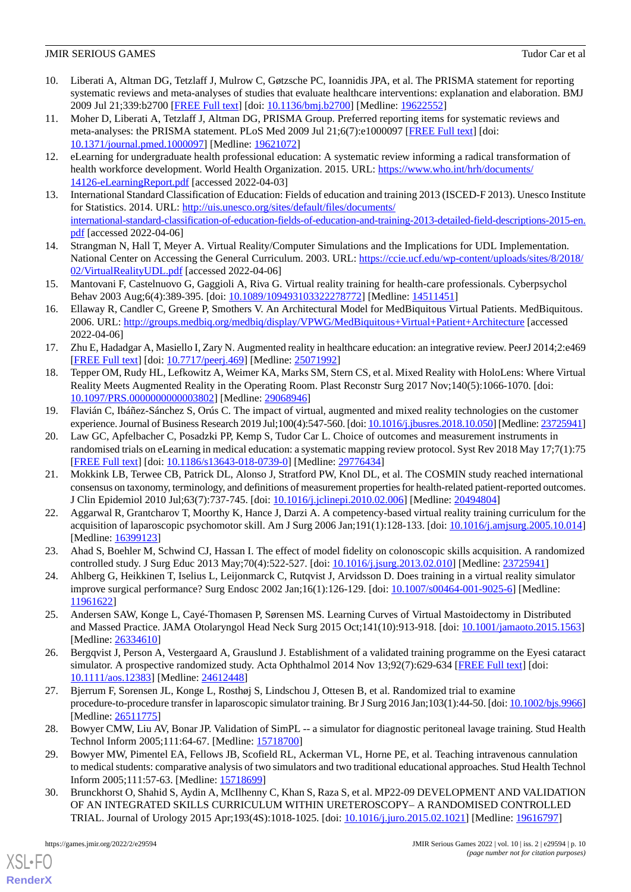- <span id="page-9-0"></span>10. Liberati A, Altman DG, Tetzlaff J, Mulrow C, Gøtzsche PC, Ioannidis JPA, et al. The PRISMA statement for reporting systematic reviews and meta-analyses of studies that evaluate healthcare interventions: explanation and elaboration. BMJ 2009 Jul 21;339:b2700 [[FREE Full text](http://europepmc.org/abstract/MED/19622552)] [doi: [10.1136/bmj.b2700\]](http://dx.doi.org/10.1136/bmj.b2700) [Medline: [19622552](http://www.ncbi.nlm.nih.gov/entrez/query.fcgi?cmd=Retrieve&db=PubMed&list_uids=19622552&dopt=Abstract)]
- <span id="page-9-1"></span>11. Moher D, Liberati A, Tetzlaff J, Altman DG, PRISMA Group. Preferred reporting items for systematic reviews and meta-analyses: the PRISMA statement. PLoS Med 2009 Jul 21;6(7):e1000097 [[FREE Full text](https://dx.plos.org/10.1371/journal.pmed.1000097)] [doi: [10.1371/journal.pmed.1000097](http://dx.doi.org/10.1371/journal.pmed.1000097)] [Medline: [19621072](http://www.ncbi.nlm.nih.gov/entrez/query.fcgi?cmd=Retrieve&db=PubMed&list_uids=19621072&dopt=Abstract)]
- <span id="page-9-3"></span><span id="page-9-2"></span>12. eLearning for undergraduate health professional education: A systematic review informing a radical transformation of health workforce development. World Health Organization. 2015. URL: [https://www.who.int/hrh/documents/](https://www.who.int/hrh/documents/14126-eLearningReport.pdf) [14126-eLearningReport.pdf](https://www.who.int/hrh/documents/14126-eLearningReport.pdf) [accessed 2022-04-03]
- 13. International Standard Classification of Education: Fields of education and training 2013 (ISCED-F 2013). Unesco Institute for Statistics. 2014. URL: [http://uis.unesco.org/sites/default/files/documents/](http://uis.unesco.org/sites/default/files/documents/international-standard-classification-of-education-fields-of-education-and-training-2013-detailed-field-descriptions-2015-en.pdf) [international-standard-classification-of-education-fields-of-education-and-training-2013-detailed-field-descriptions-2015-en.](http://uis.unesco.org/sites/default/files/documents/international-standard-classification-of-education-fields-of-education-and-training-2013-detailed-field-descriptions-2015-en.pdf) [pdf](http://uis.unesco.org/sites/default/files/documents/international-standard-classification-of-education-fields-of-education-and-training-2013-detailed-field-descriptions-2015-en.pdf) [accessed 2022-04-06]
- <span id="page-9-5"></span><span id="page-9-4"></span>14. Strangman N, Hall T, Meyer A. Virtual Reality/Computer Simulations and the Implications for UDL Implementation. National Center on Accessing the General Curriculum. 2003. URL: [https://ccie.ucf.edu/wp-content/uploads/sites/8/2018/](https://ccie.ucf.edu/wp-content/uploads/sites/8/2018/02/VirtualRealityUDL.pdf) [02/VirtualRealityUDL.pdf](https://ccie.ucf.edu/wp-content/uploads/sites/8/2018/02/VirtualRealityUDL.pdf) [accessed 2022-04-06]
- <span id="page-9-6"></span>15. Mantovani F, Castelnuovo G, Gaggioli A, Riva G. Virtual reality training for health-care professionals. Cyberpsychol Behav 2003 Aug;6(4):389-395. [doi: [10.1089/109493103322278772](http://dx.doi.org/10.1089/109493103322278772)] [Medline: [14511451](http://www.ncbi.nlm.nih.gov/entrez/query.fcgi?cmd=Retrieve&db=PubMed&list_uids=14511451&dopt=Abstract)]
- <span id="page-9-7"></span>16. Ellaway R, Candler C, Greene P, Smothers V. An Architectural Model for MedBiquitous Virtual Patients. MedBiquitous. 2006. URL: <http://groups.medbiq.org/medbiq/display/VPWG/MedBiquitous+Virtual+Patient+Architecture> [accessed 2022-04-06]
- <span id="page-9-8"></span>17. Zhu E, Hadadgar A, Masiello I, Zary N. Augmented reality in healthcare education: an integrative review. PeerJ 2014;2:e469 [[FREE Full text](https://doi.org/10.7717/peerj.469)] [doi: [10.7717/peerj.469](http://dx.doi.org/10.7717/peerj.469)] [Medline: [25071992](http://www.ncbi.nlm.nih.gov/entrez/query.fcgi?cmd=Retrieve&db=PubMed&list_uids=25071992&dopt=Abstract)]
- <span id="page-9-9"></span>18. Tepper OM, Rudy HL, Lefkowitz A, Weimer KA, Marks SM, Stern CS, et al. Mixed Reality with HoloLens: Where Virtual Reality Meets Augmented Reality in the Operating Room. Plast Reconstr Surg 2017 Nov;140(5):1066-1070. [doi: [10.1097/PRS.0000000000003802](http://dx.doi.org/10.1097/PRS.0000000000003802)] [Medline: [29068946\]](http://www.ncbi.nlm.nih.gov/entrez/query.fcgi?cmd=Retrieve&db=PubMed&list_uids=29068946&dopt=Abstract)
- <span id="page-9-10"></span>19. Flavián C, Ibáñez-Sánchez S, Orús C. The impact of virtual, augmented and mixed reality technologies on the customer experience. Journal of Business Research 2019 Jul;100(4):547-560. [doi: [10.1016/j.jbusres.2018.10.050](http://dx.doi.org/10.1016/j.jbusres.2018.10.050)] [Medline: [23725941\]](http://www.ncbi.nlm.nih.gov/entrez/query.fcgi?cmd=Retrieve&db=PubMed&list_uids=23725941&dopt=Abstract)
- <span id="page-9-11"></span>20. Law GC, Apfelbacher C, Posadzki PP, Kemp S, Tudor Car L. Choice of outcomes and measurement instruments in randomised trials on eLearning in medical education: a systematic mapping review protocol. Syst Rev 2018 May 17;7(1):75 [[FREE Full text](https://systematicreviewsjournal.biomedcentral.com/articles/10.1186/s13643-018-0739-0)] [doi: [10.1186/s13643-018-0739-0\]](http://dx.doi.org/10.1186/s13643-018-0739-0) [Medline: [29776434](http://www.ncbi.nlm.nih.gov/entrez/query.fcgi?cmd=Retrieve&db=PubMed&list_uids=29776434&dopt=Abstract)]
- <span id="page-9-12"></span>21. Mokkink LB, Terwee CB, Patrick DL, Alonso J, Stratford PW, Knol DL, et al. The COSMIN study reached international consensus on taxonomy, terminology, and definitions of measurement properties for health-related patient-reported outcomes. J Clin Epidemiol 2010 Jul;63(7):737-745. [doi: [10.1016/j.jclinepi.2010.02.006\]](http://dx.doi.org/10.1016/j.jclinepi.2010.02.006) [Medline: [20494804\]](http://www.ncbi.nlm.nih.gov/entrez/query.fcgi?cmd=Retrieve&db=PubMed&list_uids=20494804&dopt=Abstract)
- <span id="page-9-17"></span><span id="page-9-13"></span>22. Aggarwal R, Grantcharov T, Moorthy K, Hance J, Darzi A. A competency-based virtual reality training curriculum for the acquisition of laparoscopic psychomotor skill. Am J Surg 2006 Jan;191(1):128-133. [doi: [10.1016/j.amjsurg.2005.10.014](http://dx.doi.org/10.1016/j.amjsurg.2005.10.014)] [Medline: [16399123](http://www.ncbi.nlm.nih.gov/entrez/query.fcgi?cmd=Retrieve&db=PubMed&list_uids=16399123&dopt=Abstract)]
- <span id="page-9-14"></span>23. Ahad S, Boehler M, Schwind CJ, Hassan I. The effect of model fidelity on colonoscopic skills acquisition. A randomized controlled study. J Surg Educ 2013 May;70(4):522-527. [doi: [10.1016/j.jsurg.2013.02.010\]](http://dx.doi.org/10.1016/j.jsurg.2013.02.010) [Medline: [23725941\]](http://www.ncbi.nlm.nih.gov/entrez/query.fcgi?cmd=Retrieve&db=PubMed&list_uids=23725941&dopt=Abstract)
- <span id="page-9-19"></span>24. Ahlberg G, Heikkinen T, Iselius L, Leijonmarck C, Rutqvist J, Arvidsson D. Does training in a virtual reality simulator improve surgical performance? Surg Endosc 2002 Jan;16(1):126-129. [doi: [10.1007/s00464-001-9025-6\]](http://dx.doi.org/10.1007/s00464-001-9025-6) [Medline: [11961622](http://www.ncbi.nlm.nih.gov/entrez/query.fcgi?cmd=Retrieve&db=PubMed&list_uids=11961622&dopt=Abstract)]
- <span id="page-9-15"></span>25. Andersen SAW, Konge L, Cayé-Thomasen P, Sørensen MS. Learning Curves of Virtual Mastoidectomy in Distributed and Massed Practice. JAMA Otolaryngol Head Neck Surg 2015 Oct;141(10):913-918. [doi: [10.1001/jamaoto.2015.1563](http://dx.doi.org/10.1001/jamaoto.2015.1563)] [Medline: [26334610](http://www.ncbi.nlm.nih.gov/entrez/query.fcgi?cmd=Retrieve&db=PubMed&list_uids=26334610&dopt=Abstract)]
- <span id="page-9-18"></span>26. Bergqvist J, Person A, Vestergaard A, Grauslund J. Establishment of a validated training programme on the Eyesi cataract simulator. A prospective randomized study. Acta Ophthalmol 2014 Nov 13;92(7):629-634 [\[FREE Full text\]](https://doi.org/10.1111/aos.12383) [doi: [10.1111/aos.12383\]](http://dx.doi.org/10.1111/aos.12383) [Medline: [24612448](http://www.ncbi.nlm.nih.gov/entrez/query.fcgi?cmd=Retrieve&db=PubMed&list_uids=24612448&dopt=Abstract)]
- <span id="page-9-20"></span>27. Bjerrum F, Sorensen JL, Konge L, Rosthøj S, Lindschou J, Ottesen B, et al. Randomized trial to examine procedure-to-procedure transfer in laparoscopic simulator training. Br J Surg 2016 Jan;103(1):44-50. [doi: [10.1002/bjs.9966](http://dx.doi.org/10.1002/bjs.9966)] [Medline: [26511775](http://www.ncbi.nlm.nih.gov/entrez/query.fcgi?cmd=Retrieve&db=PubMed&list_uids=26511775&dopt=Abstract)]
- <span id="page-9-16"></span>28. Bowyer CMW, Liu AV, Bonar JP. Validation of SimPL -- a simulator for diagnostic peritoneal lavage training. Stud Health Technol Inform 2005;111:64-67. [Medline: [15718700](http://www.ncbi.nlm.nih.gov/entrez/query.fcgi?cmd=Retrieve&db=PubMed&list_uids=15718700&dopt=Abstract)]
- 29. Bowyer MW, Pimentel EA, Fellows JB, Scofield RL, Ackerman VL, Horne PE, et al. Teaching intravenous cannulation to medical students: comparative analysis of two simulators and two traditional educational approaches. Stud Health Technol Inform 2005;111:57-63. [Medline: [15718699\]](http://www.ncbi.nlm.nih.gov/entrez/query.fcgi?cmd=Retrieve&db=PubMed&list_uids=15718699&dopt=Abstract)
- 30. Brunckhorst O, Shahid S, Aydin A, McIlhenny C, Khan S, Raza S, et al. MP22-09 DEVELOPMENT AND VALIDATION OF AN INTEGRATED SKILLS CURRICULUM WITHIN URETEROSCOPY– A RANDOMISED CONTROLLED TRIAL. Journal of Urology 2015 Apr;193(4S):1018-1025. [doi: [10.1016/j.juro.2015.02.1021](http://dx.doi.org/10.1016/j.juro.2015.02.1021)] [Medline: [19616797](http://www.ncbi.nlm.nih.gov/entrez/query.fcgi?cmd=Retrieve&db=PubMed&list_uids=19616797&dopt=Abstract)]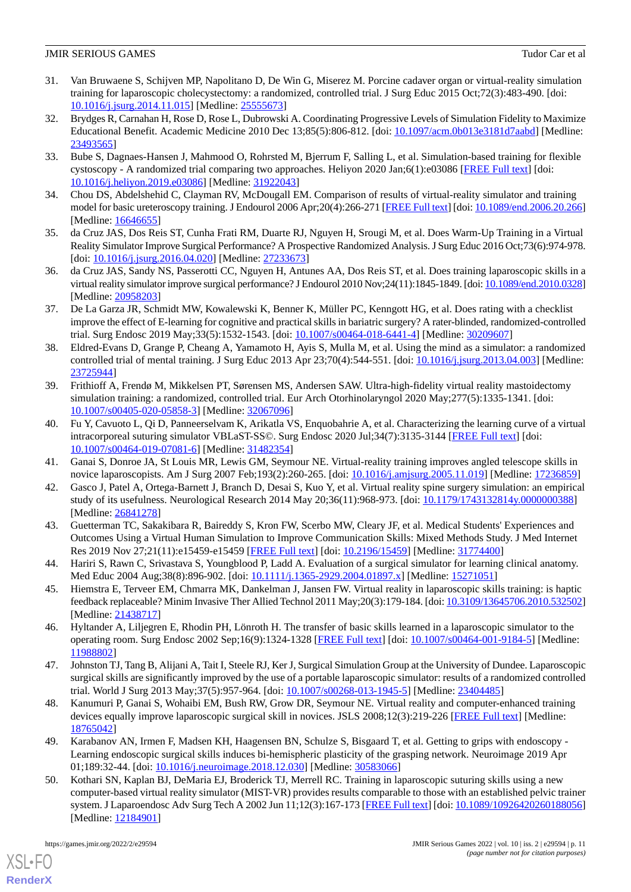- <span id="page-10-7"></span>31. Van Bruwaene S, Schijven MP, Napolitano D, De Win G, Miserez M. Porcine cadaver organ or virtual-reality simulation training for laparoscopic cholecystectomy: a randomized, controlled trial. J Surg Educ 2015 Oct;72(3):483-490. [doi: [10.1016/j.jsurg.2014.11.015](http://dx.doi.org/10.1016/j.jsurg.2014.11.015)] [Medline: [25555673](http://www.ncbi.nlm.nih.gov/entrez/query.fcgi?cmd=Retrieve&db=PubMed&list_uids=25555673&dopt=Abstract)]
- <span id="page-10-2"></span>32. Brydges R, Carnahan H, Rose D, Rose L, Dubrowski A. Coordinating Progressive Levels of Simulation Fidelity to Maximize Educational Benefit. Academic Medicine 2010 Dec 13;85(5):806-812. [doi: [10.1097/acm.0b013e3181d7aabd](http://dx.doi.org/10.1097/acm.0b013e3181d7aabd)] [Medline: [23493565](http://www.ncbi.nlm.nih.gov/entrez/query.fcgi?cmd=Retrieve&db=PubMed&list_uids=23493565&dopt=Abstract)]
- <span id="page-10-15"></span><span id="page-10-3"></span>33. Bube S, Dagnaes-Hansen J, Mahmood O, Rohrsted M, Bjerrum F, Salling L, et al. Simulation-based training for flexible cystoscopy - A randomized trial comparing two approaches. Heliyon 2020 Jan;6(1):e03086 [[FREE Full text](https://linkinghub.elsevier.com/retrieve/pii/S2405-8440(19)36745-3)] [doi: [10.1016/j.heliyon.2019.e03086\]](http://dx.doi.org/10.1016/j.heliyon.2019.e03086) [Medline: [31922043](http://www.ncbi.nlm.nih.gov/entrez/query.fcgi?cmd=Retrieve&db=PubMed&list_uids=31922043&dopt=Abstract)]
- <span id="page-10-0"></span>34. Chou DS, Abdelshehid C, Clayman RV, McDougall EM. Comparison of results of virtual-reality simulator and training model for basic ureteroscopy training. J Endourol 2006 Apr;20(4):266-271 [[FREE Full text](https://doi.org/10.1111/j.1755-3768.2010.02028.x)] [doi: [10.1089/end.2006.20.266](http://dx.doi.org/10.1089/end.2006.20.266)] [Medline: [16646655](http://www.ncbi.nlm.nih.gov/entrez/query.fcgi?cmd=Retrieve&db=PubMed&list_uids=16646655&dopt=Abstract)]
- <span id="page-10-1"></span>35. da Cruz JAS, Dos Reis ST, Cunha Frati RM, Duarte RJ, Nguyen H, Srougi M, et al. Does Warm-Up Training in a Virtual Reality Simulator Improve Surgical Performance? A Prospective Randomized Analysis. J Surg Educ 2016 Oct;73(6):974-978. [doi: [10.1016/j.jsurg.2016.04.020\]](http://dx.doi.org/10.1016/j.jsurg.2016.04.020) [Medline: [27233673\]](http://www.ncbi.nlm.nih.gov/entrez/query.fcgi?cmd=Retrieve&db=PubMed&list_uids=27233673&dopt=Abstract)
- <span id="page-10-6"></span>36. da Cruz JAS, Sandy NS, Passerotti CC, Nguyen H, Antunes AA, Dos Reis ST, et al. Does training laparoscopic skills in a virtual reality simulator improve surgical performance? J Endourol 2010 Nov;24(11):1845-1849. [doi: [10.1089/end.2010.0328\]](http://dx.doi.org/10.1089/end.2010.0328) [Medline: [20958203](http://www.ncbi.nlm.nih.gov/entrez/query.fcgi?cmd=Retrieve&db=PubMed&list_uids=20958203&dopt=Abstract)]
- <span id="page-10-8"></span>37. De La Garza JR, Schmidt MW, Kowalewski K, Benner K, Müller PC, Kenngott HG, et al. Does rating with a checklist improve the effect of E-learning for cognitive and practical skills in bariatric surgery? A rater-blinded, randomized-controlled trial. Surg Endosc 2019 May;33(5):1532-1543. [doi: [10.1007/s00464-018-6441-4\]](http://dx.doi.org/10.1007/s00464-018-6441-4) [Medline: [30209607](http://www.ncbi.nlm.nih.gov/entrez/query.fcgi?cmd=Retrieve&db=PubMed&list_uids=30209607&dopt=Abstract)]
- <span id="page-10-13"></span>38. Eldred-Evans D, Grange P, Cheang A, Yamamoto H, Ayis S, Mulla M, et al. Using the mind as a simulator: a randomized controlled trial of mental training. J Surg Educ 2013 Apr 23;70(4):544-551. [doi: [10.1016/j.jsurg.2013.04.003\]](http://dx.doi.org/10.1016/j.jsurg.2013.04.003) [Medline: [23725944](http://www.ncbi.nlm.nih.gov/entrez/query.fcgi?cmd=Retrieve&db=PubMed&list_uids=23725944&dopt=Abstract)]
- <span id="page-10-9"></span>39. Frithioff A, Frendø M, Mikkelsen PT, Sørensen MS, Andersen SAW. Ultra-high-fidelity virtual reality mastoidectomy simulation training: a randomized, controlled trial. Eur Arch Otorhinolaryngol 2020 May;277(5):1335-1341. [doi: [10.1007/s00405-020-05858-3\]](http://dx.doi.org/10.1007/s00405-020-05858-3) [Medline: [32067096\]](http://www.ncbi.nlm.nih.gov/entrez/query.fcgi?cmd=Retrieve&db=PubMed&list_uids=32067096&dopt=Abstract)
- <span id="page-10-14"></span><span id="page-10-10"></span>40. Fu Y, Cavuoto L, Qi D, Panneerselvam K, Arikatla VS, Enquobahrie A, et al. Characterizing the learning curve of a virtual intracorporeal suturing simulator VBLaST-SS©. Surg Endosc 2020 Jul;34(7):3135-3144 [[FREE Full text](http://europepmc.org/abstract/MED/31482354)] [doi: [10.1007/s00464-019-07081-6\]](http://dx.doi.org/10.1007/s00464-019-07081-6) [Medline: [31482354\]](http://www.ncbi.nlm.nih.gov/entrez/query.fcgi?cmd=Retrieve&db=PubMed&list_uids=31482354&dopt=Abstract)
- <span id="page-10-18"></span>41. Ganai S, Donroe JA, St Louis MR, Lewis GM, Seymour NE. Virtual-reality training improves angled telescope skills in novice laparoscopists. Am J Surg 2007 Feb;193(2):260-265. [doi: [10.1016/j.amjsurg.2005.11.019\]](http://dx.doi.org/10.1016/j.amjsurg.2005.11.019) [Medline: [17236859\]](http://www.ncbi.nlm.nih.gov/entrez/query.fcgi?cmd=Retrieve&db=PubMed&list_uids=17236859&dopt=Abstract)
- 42. Gasco J, Patel A, Ortega-Barnett J, Branch D, Desai S, Kuo Y, et al. Virtual reality spine surgery simulation: an empirical study of its usefulness. Neurological Research 2014 May 20;36(11):968-973. [doi: [10.1179/1743132814y.0000000388](http://dx.doi.org/10.1179/1743132814y.0000000388)] [Medline: [26841278](http://www.ncbi.nlm.nih.gov/entrez/query.fcgi?cmd=Retrieve&db=PubMed&list_uids=26841278&dopt=Abstract)]
- <span id="page-10-17"></span><span id="page-10-11"></span>43. Guetterman TC, Sakakibara R, Baireddy S, Kron FW, Scerbo MW, Cleary JF, et al. Medical Students' Experiences and Outcomes Using a Virtual Human Simulation to Improve Communication Skills: Mixed Methods Study. J Med Internet Res 2019 Nov 27;21(11):e15459-e15459 [\[FREE Full text\]](https://www.jmir.org/2019/11/e15459/) [doi: [10.2196/15459](http://dx.doi.org/10.2196/15459)] [Medline: [31774400](http://www.ncbi.nlm.nih.gov/entrez/query.fcgi?cmd=Retrieve&db=PubMed&list_uids=31774400&dopt=Abstract)]
- <span id="page-10-19"></span>44. Hariri S, Rawn C, Srivastava S, Youngblood P, Ladd A. Evaluation of a surgical simulator for learning clinical anatomy. Med Educ 2004 Aug;38(8):896-902. [doi: [10.1111/j.1365-2929.2004.01897.x](http://dx.doi.org/10.1111/j.1365-2929.2004.01897.x)] [Medline: [15271051](http://www.ncbi.nlm.nih.gov/entrez/query.fcgi?cmd=Retrieve&db=PubMed&list_uids=15271051&dopt=Abstract)]
- <span id="page-10-4"></span>45. Hiemstra E, Terveer EM, Chmarra MK, Dankelman J, Jansen FW. Virtual reality in laparoscopic skills training: is haptic feedback replaceable? Minim Invasive Ther Allied Technol 2011 May;20(3):179-184. [doi: [10.3109/13645706.2010.532502](http://dx.doi.org/10.3109/13645706.2010.532502)] [Medline: [21438717](http://www.ncbi.nlm.nih.gov/entrez/query.fcgi?cmd=Retrieve&db=PubMed&list_uids=21438717&dopt=Abstract)]
- <span id="page-10-5"></span>46. Hyltander A, Liljegren E, Rhodin PH, Lönroth H. The transfer of basic skills learned in a laparoscopic simulator to the operating room. Surg Endosc 2002 Sep;16(9):1324-1328 [[FREE Full text](https://www.sages.org/meetings/annual-meeting/abstracts-archive/enhancing-robot-assisted-fundamental-surgical-proficiency-using-portable-virtual-simulator/)] [doi: [10.1007/s00464-001-9184-5\]](http://dx.doi.org/10.1007/s00464-001-9184-5) [Medline: [11988802](http://www.ncbi.nlm.nih.gov/entrez/query.fcgi?cmd=Retrieve&db=PubMed&list_uids=11988802&dopt=Abstract)]
- <span id="page-10-16"></span>47. Johnston TJ, Tang B, Alijani A, Tait I, Steele RJ, Ker J, Surgical Simulation Group at the University of Dundee. Laparoscopic surgical skills are significantly improved by the use of a portable laparoscopic simulator: results of a randomized controlled trial. World J Surg 2013 May;37(5):957-964. [doi: [10.1007/s00268-013-1945-5](http://dx.doi.org/10.1007/s00268-013-1945-5)] [Medline: [23404485](http://www.ncbi.nlm.nih.gov/entrez/query.fcgi?cmd=Retrieve&db=PubMed&list_uids=23404485&dopt=Abstract)]
- <span id="page-10-12"></span>48. Kanumuri P, Ganai S, Wohaibi EM, Bush RW, Grow DR, Seymour NE. Virtual reality and computer-enhanced training devices equally improve laparoscopic surgical skill in novices. JSLS 2008;12(3):219-226 [[FREE Full text](http://europepmc.org/abstract/MED/18765042)] [Medline: [18765042](http://www.ncbi.nlm.nih.gov/entrez/query.fcgi?cmd=Retrieve&db=PubMed&list_uids=18765042&dopt=Abstract)]
- 49. Karabanov AN, Irmen F, Madsen KH, Haagensen BN, Schulze S, Bisgaard T, et al. Getting to grips with endoscopy Learning endoscopic surgical skills induces bi-hemispheric plasticity of the grasping network. Neuroimage 2019 Apr 01;189:32-44. [doi: [10.1016/j.neuroimage.2018.12.030](http://dx.doi.org/10.1016/j.neuroimage.2018.12.030)] [Medline: [30583066\]](http://www.ncbi.nlm.nih.gov/entrez/query.fcgi?cmd=Retrieve&db=PubMed&list_uids=30583066&dopt=Abstract)
- 50. Kothari SN, Kaplan BJ, DeMaria EJ, Broderick TJ, Merrell RC. Training in laparoscopic suturing skills using a new computer-based virtual reality simulator (MIST-VR) provides results comparable to those with an established pelvic trainer system. J Laparoendosc Adv Surg Tech A 2002 Jun 11;12(3):167-173 [[FREE Full text\]](https://doi.org/10.1111/aos.12383) [doi: [10.1089/10926420260188056\]](http://dx.doi.org/10.1089/10926420260188056) [Medline: [12184901](http://www.ncbi.nlm.nih.gov/entrez/query.fcgi?cmd=Retrieve&db=PubMed&list_uids=12184901&dopt=Abstract)]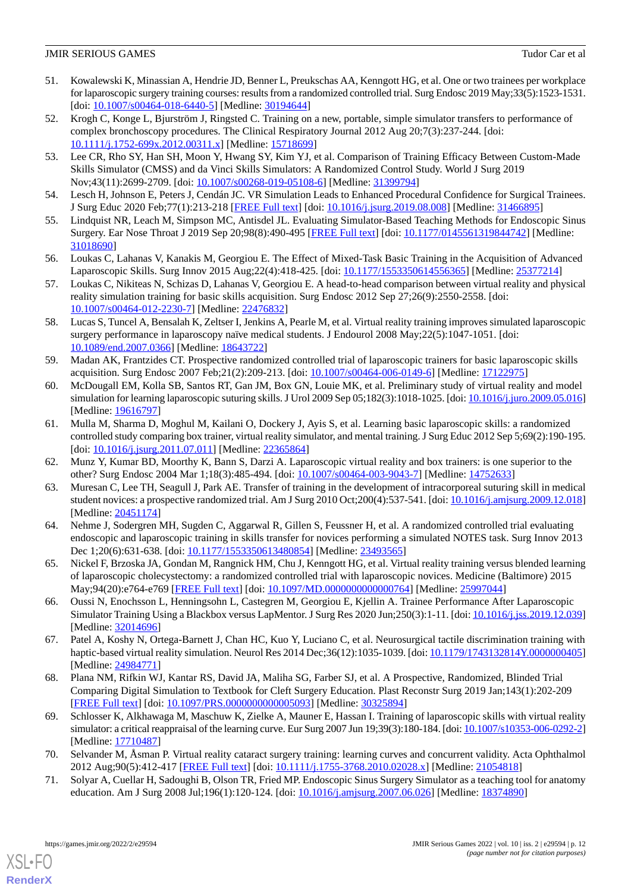- <span id="page-11-15"></span>51. Kowalewski K, Minassian A, Hendrie JD, Benner L, Preukschas AA, Kenngott HG, et al. One or two trainees per workplace for laparoscopic surgery training courses: results from a randomized controlled trial. Surg Endosc 2019 May;33(5):1523-1531. [doi: [10.1007/s00464-018-6440-5](http://dx.doi.org/10.1007/s00464-018-6440-5)] [Medline: [30194644\]](http://www.ncbi.nlm.nih.gov/entrez/query.fcgi?cmd=Retrieve&db=PubMed&list_uids=30194644&dopt=Abstract)
- <span id="page-11-0"></span>52. Krogh C, Konge L, Bjurström J, Ringsted C. Training on a new, portable, simple simulator transfers to performance of complex bronchoscopy procedures. The Clinical Respiratory Journal 2012 Aug 20;7(3):237-244. [doi: [10.1111/j.1752-699x.2012.00311.x\]](http://dx.doi.org/10.1111/j.1752-699x.2012.00311.x) [Medline: [15718699\]](http://www.ncbi.nlm.nih.gov/entrez/query.fcgi?cmd=Retrieve&db=PubMed&list_uids=15718699&dopt=Abstract)
- <span id="page-11-10"></span>53. Lee CR, Rho SY, Han SH, Moon Y, Hwang SY, Kim YJ, et al. Comparison of Training Efficacy Between Custom-Made Skills Simulator (CMSS) and da Vinci Skills Simulators: A Randomized Control Study. World J Surg 2019 Nov;43(11):2699-2709. [doi: [10.1007/s00268-019-05108-6\]](http://dx.doi.org/10.1007/s00268-019-05108-6) [Medline: [31399794](http://www.ncbi.nlm.nih.gov/entrez/query.fcgi?cmd=Retrieve&db=PubMed&list_uids=31399794&dopt=Abstract)]
- <span id="page-11-11"></span><span id="page-11-6"></span>54. Lesch H, Johnson E, Peters J, Cendán JC. VR Simulation Leads to Enhanced Procedural Confidence for Surgical Trainees. J Surg Educ 2020 Feb;77(1):213-218 [\[FREE Full text\]](http://europepmc.org/abstract/MED/31466895) [doi: [10.1016/j.jsurg.2019.08.008\]](http://dx.doi.org/10.1016/j.jsurg.2019.08.008) [Medline: [31466895](http://www.ncbi.nlm.nih.gov/entrez/query.fcgi?cmd=Retrieve&db=PubMed&list_uids=31466895&dopt=Abstract)]
- <span id="page-11-7"></span>55. Lindquist NR, Leach M, Simpson MC, Antisdel JL. Evaluating Simulator-Based Teaching Methods for Endoscopic Sinus Surgery. Ear Nose Throat J 2019 Sep 20;98(8):490-495 [[FREE Full text](https://journals.sagepub.com/doi/10.1177/0145561319844742?url_ver=Z39.88-2003&rfr_id=ori:rid:crossref.org&rfr_dat=cr_pub%3dpubmed)] [doi: [10.1177/0145561319844742\]](http://dx.doi.org/10.1177/0145561319844742) [Medline: [31018690](http://www.ncbi.nlm.nih.gov/entrez/query.fcgi?cmd=Retrieve&db=PubMed&list_uids=31018690&dopt=Abstract)]
- <span id="page-11-16"></span>56. Loukas C, Lahanas V, Kanakis M, Georgiou E. The Effect of Mixed-Task Basic Training in the Acquisition of Advanced Laparoscopic Skills. Surg Innov 2015 Aug;22(4):418-425. [doi: [10.1177/1553350614556365\]](http://dx.doi.org/10.1177/1553350614556365) [Medline: [25377214](http://www.ncbi.nlm.nih.gov/entrez/query.fcgi?cmd=Retrieve&db=PubMed&list_uids=25377214&dopt=Abstract)]
- <span id="page-11-1"></span>57. Loukas C, Nikiteas N, Schizas D, Lahanas V, Georgiou E. A head-to-head comparison between virtual reality and physical reality simulation training for basic skills acquisition. Surg Endosc 2012 Sep 27;26(9):2550-2558. [doi: [10.1007/s00464-012-2230-7\]](http://dx.doi.org/10.1007/s00464-012-2230-7) [Medline: [22476832](http://www.ncbi.nlm.nih.gov/entrez/query.fcgi?cmd=Retrieve&db=PubMed&list_uids=22476832&dopt=Abstract)]
- <span id="page-11-17"></span>58. Lucas S, Tuncel A, Bensalah K, Zeltser I, Jenkins A, Pearle M, et al. Virtual reality training improves simulated laparoscopic surgery performance in laparoscopy naïve medical students. J Endourol 2008 May;22(5):1047-1051. [doi: [10.1089/end.2007.0366](http://dx.doi.org/10.1089/end.2007.0366)] [Medline: [18643722](http://www.ncbi.nlm.nih.gov/entrez/query.fcgi?cmd=Retrieve&db=PubMed&list_uids=18643722&dopt=Abstract)]
- <span id="page-11-2"></span>59. Madan AK, Frantzides CT. Prospective randomized controlled trial of laparoscopic trainers for basic laparoscopic skills acquisition. Surg Endosc 2007 Feb;21(2):209-213. [doi: [10.1007/s00464-006-0149-6](http://dx.doi.org/10.1007/s00464-006-0149-6)] [Medline: [17122975\]](http://www.ncbi.nlm.nih.gov/entrez/query.fcgi?cmd=Retrieve&db=PubMed&list_uids=17122975&dopt=Abstract)
- <span id="page-11-18"></span>60. McDougall EM, Kolla SB, Santos RT, Gan JM, Box GN, Louie MK, et al. Preliminary study of virtual reality and model simulation for learning laparoscopic suturing skills. J Urol 2009 Sep 05;182(3):1018-1025. [doi: [10.1016/j.juro.2009.05.016\]](http://dx.doi.org/10.1016/j.juro.2009.05.016) [Medline: [19616797](http://www.ncbi.nlm.nih.gov/entrez/query.fcgi?cmd=Retrieve&db=PubMed&list_uids=19616797&dopt=Abstract)]
- <span id="page-11-19"></span><span id="page-11-3"></span>61. Mulla M, Sharma D, Moghul M, Kailani O, Dockery J, Ayis S, et al. Learning basic laparoscopic skills: a randomized controlled study comparing box trainer, virtual reality simulator, and mental training. J Surg Educ 2012 Sep 5;69(2):190-195. [doi: [10.1016/j.jsurg.2011.07.011\]](http://dx.doi.org/10.1016/j.jsurg.2011.07.011) [Medline: [22365864\]](http://www.ncbi.nlm.nih.gov/entrez/query.fcgi?cmd=Retrieve&db=PubMed&list_uids=22365864&dopt=Abstract)
- <span id="page-11-20"></span>62. Munz Y, Kumar BD, Moorthy K, Bann S, Darzi A. Laparoscopic virtual reality and box trainers: is one superior to the other? Surg Endosc 2004 Mar 1;18(3):485-494. [doi: [10.1007/s00464-003-9043-7\]](http://dx.doi.org/10.1007/s00464-003-9043-7) [Medline: [14752633\]](http://www.ncbi.nlm.nih.gov/entrez/query.fcgi?cmd=Retrieve&db=PubMed&list_uids=14752633&dopt=Abstract)
- 63. Muresan C, Lee TH, Seagull J, Park AE. Transfer of training in the development of intracorporeal suturing skill in medical student novices: a prospective randomized trial. Am J Surg 2010 Oct;200(4):537-541. [doi: [10.1016/j.amjsurg.2009.12.018\]](http://dx.doi.org/10.1016/j.amjsurg.2009.12.018) [Medline: [20451174](http://www.ncbi.nlm.nih.gov/entrez/query.fcgi?cmd=Retrieve&db=PubMed&list_uids=20451174&dopt=Abstract)]
- <span id="page-11-8"></span><span id="page-11-4"></span>64. Nehme J, Sodergren MH, Sugden C, Aggarwal R, Gillen S, Feussner H, et al. A randomized controlled trial evaluating endoscopic and laparoscopic training in skills transfer for novices performing a simulated NOTES task. Surg Innov 2013 Dec 1;20(6):631-638. [doi: [10.1177/1553350613480854](http://dx.doi.org/10.1177/1553350613480854)] [Medline: [23493565](http://www.ncbi.nlm.nih.gov/entrez/query.fcgi?cmd=Retrieve&db=PubMed&list_uids=23493565&dopt=Abstract)]
- <span id="page-11-12"></span>65. Nickel F, Brzoska JA, Gondan M, Rangnick HM, Chu J, Kenngott HG, et al. Virtual reality training versus blended learning of laparoscopic cholecystectomy: a randomized controlled trial with laparoscopic novices. Medicine (Baltimore) 2015 May;94(20):e764-e769 [\[FREE Full text\]](https://doi.org/10.1097/MD.0000000000000764) [doi: [10.1097/MD.0000000000000764\]](http://dx.doi.org/10.1097/MD.0000000000000764) [Medline: [25997044](http://www.ncbi.nlm.nih.gov/entrez/query.fcgi?cmd=Retrieve&db=PubMed&list_uids=25997044&dopt=Abstract)]
- <span id="page-11-13"></span>66. Oussi N, Enochsson L, Henningsohn L, Castegren M, Georgiou E, Kjellin A. Trainee Performance After Laparoscopic Simulator Training Using a Blackbox versus LapMentor. J Surg Res 2020 Jun;250(3):1-11. [doi: [10.1016/j.jss.2019.12.039](http://dx.doi.org/10.1016/j.jss.2019.12.039)] [Medline: [32014696](http://www.ncbi.nlm.nih.gov/entrez/query.fcgi?cmd=Retrieve&db=PubMed&list_uids=32014696&dopt=Abstract)]
- <span id="page-11-9"></span>67. Patel A, Koshy N, Ortega-Barnett J, Chan HC, Kuo Y, Luciano C, et al. Neurosurgical tactile discrimination training with haptic-based virtual reality simulation. Neurol Res 2014 Dec;36(12):1035-1039. [doi: [10.1179/1743132814Y.0000000405](http://dx.doi.org/10.1179/1743132814Y.0000000405)] [Medline: [24984771](http://www.ncbi.nlm.nih.gov/entrez/query.fcgi?cmd=Retrieve&db=PubMed&list_uids=24984771&dopt=Abstract)]
- <span id="page-11-5"></span>68. Plana NM, Rifkin WJ, Kantar RS, David JA, Maliha SG, Farber SJ, et al. A Prospective, Randomized, Blinded Trial Comparing Digital Simulation to Textbook for Cleft Surgery Education. Plast Reconstr Surg 2019 Jan;143(1):202-209 [[FREE Full text](http://europepmc.org/abstract/MED/26168925)] [doi: [10.1097/PRS.0000000000005093](http://dx.doi.org/10.1097/PRS.0000000000005093)] [Medline: [30325894\]](http://www.ncbi.nlm.nih.gov/entrez/query.fcgi?cmd=Retrieve&db=PubMed&list_uids=30325894&dopt=Abstract)
- <span id="page-11-14"></span>69. Schlosser K, Alkhawaga M, Maschuw K, Zielke A, Mauner E, Hassan I. Training of laparoscopic skills with virtual reality simulator: a critical reappraisal of the learning curve. Eur Surg 2007 Jun 19;39(3):180-184. [doi: [10.1007/s10353-006-0292-2\]](http://dx.doi.org/10.1007/s10353-006-0292-2) [Medline: [17710487](http://www.ncbi.nlm.nih.gov/entrez/query.fcgi?cmd=Retrieve&db=PubMed&list_uids=17710487&dopt=Abstract)]
- 70. Selvander M, Åsman P. Virtual reality cataract surgery training: learning curves and concurrent validity. Acta Ophthalmol 2012 Aug;90(5):412-417 [[FREE Full text](https://doi.org/10.1111/j.1755-3768.2010.02028.x)] [doi:  $10.1111/j.1755-3768.2010.02028.x$ ] [Medline: [21054818](http://www.ncbi.nlm.nih.gov/entrez/query.fcgi?cmd=Retrieve&db=PubMed&list_uids=21054818&dopt=Abstract)]
- 71. Solyar A, Cuellar H, Sadoughi B, Olson TR, Fried MP. Endoscopic Sinus Surgery Simulator as a teaching tool for anatomy education. Am J Surg 2008 Jul;196(1):120-124. [doi: [10.1016/j.amjsurg.2007.06.026\]](http://dx.doi.org/10.1016/j.amjsurg.2007.06.026) [Medline: [18374890](http://www.ncbi.nlm.nih.gov/entrez/query.fcgi?cmd=Retrieve&db=PubMed&list_uids=18374890&dopt=Abstract)]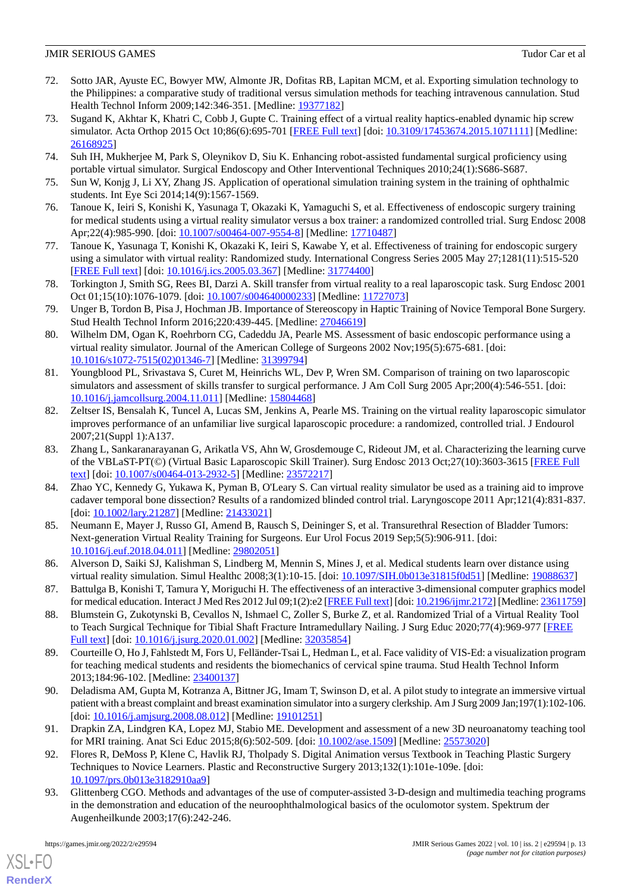- <span id="page-12-2"></span>72. Sotto JAR, Ayuste EC, Bowyer MW, Almonte JR, Dofitas RB, Lapitan MCM, et al. Exporting simulation technology to the Philippines: a comparative study of traditional versus simulation methods for teaching intravenous cannulation. Stud Health Technol Inform 2009;142:346-351. [Medline: [19377182](http://www.ncbi.nlm.nih.gov/entrez/query.fcgi?cmd=Retrieve&db=PubMed&list_uids=19377182&dopt=Abstract)]
- <span id="page-12-14"></span>73. Sugand K, Akhtar K, Khatri C, Cobb J, Gupte C. Training effect of a virtual reality haptics-enabled dynamic hip screw simulator. Acta Orthop 2015 Oct 10;86(6):695-701 [[FREE Full text](https://www.tandfonline.com/doi/full/10.3109/17453674.2015.1071111)] [doi: [10.3109/17453674.2015.1071111\]](http://dx.doi.org/10.3109/17453674.2015.1071111) [Medline: [26168925](http://www.ncbi.nlm.nih.gov/entrez/query.fcgi?cmd=Retrieve&db=PubMed&list_uids=26168925&dopt=Abstract)]
- <span id="page-12-9"></span><span id="page-12-3"></span>74. Suh IH, Mukherjee M, Park S, Oleynikov D, Siu K. Enhancing robot-assisted fundamental surgical proficiency using portable virtual simulator. Surgical Endoscopy and Other Interventional Techniques 2010;24(1):S686-S687.
- <span id="page-12-12"></span>75. Sun W, Konjg J, Li XY, Zhang JS. Application of operational simulation training system in the training of ophthalmic students. Int Eye Sci 2014;14(9):1567-1569.
- <span id="page-12-13"></span>76. Tanoue K, Ieiri S, Konishi K, Yasunaga T, Okazaki K, Yamaguchi S, et al. Effectiveness of endoscopic surgery training for medical students using a virtual reality simulator versus a box trainer: a randomized controlled trial. Surg Endosc 2008 Apr;22(4):985-990. [doi: [10.1007/s00464-007-9554-8](http://dx.doi.org/10.1007/s00464-007-9554-8)] [Medline: [17710487\]](http://www.ncbi.nlm.nih.gov/entrez/query.fcgi?cmd=Retrieve&db=PubMed&list_uids=17710487&dopt=Abstract)
- <span id="page-12-4"></span>77. Tanoue K, Yasunaga T, Konishi K, Okazaki K, Ieiri S, Kawabe Y, et al. Effectiveness of training for endoscopic surgery using a simulator with virtual reality: Randomized study. International Congress Series 2005 May 27;1281(11):515-520 [[FREE Full text](https://www.jmir.org/2019/11/e15459/)] [doi: [10.1016/j.ics.2005.03.367\]](http://dx.doi.org/10.1016/j.ics.2005.03.367) [Medline: [31774400](http://www.ncbi.nlm.nih.gov/entrez/query.fcgi?cmd=Retrieve&db=PubMed&list_uids=31774400&dopt=Abstract)]
- <span id="page-12-5"></span>78. Torkington J, Smith SG, Rees BI, Darzi A. Skill transfer from virtual reality to a real laparoscopic task. Surg Endosc 2001 Oct 01;15(10):1076-1079. [doi: [10.1007/s004640000233\]](http://dx.doi.org/10.1007/s004640000233) [Medline: [11727073](http://www.ncbi.nlm.nih.gov/entrez/query.fcgi?cmd=Retrieve&db=PubMed&list_uids=11727073&dopt=Abstract)]
- <span id="page-12-15"></span>79. Unger B, Tordon B, Pisa J, Hochman JB. Importance of Stereoscopy in Haptic Training of Novice Temporal Bone Surgery. Stud Health Technol Inform 2016;220:439-445. [Medline: [27046619](http://www.ncbi.nlm.nih.gov/entrez/query.fcgi?cmd=Retrieve&db=PubMed&list_uids=27046619&dopt=Abstract)]
- <span id="page-12-10"></span>80. Wilhelm DM, Ogan K, Roehrborn CG, Cadeddu JA, Pearle MS. Assessment of basic endoscopic performance using a virtual reality simulator. Journal of the American College of Surgeons 2002 Nov;195(5):675-681. [doi: [10.1016/s1072-7515\(02\)01346-7](http://dx.doi.org/10.1016/s1072-7515(02)01346-7)] [Medline: [31399794\]](http://www.ncbi.nlm.nih.gov/entrez/query.fcgi?cmd=Retrieve&db=PubMed&list_uids=31399794&dopt=Abstract)
- <span id="page-12-6"></span>81. Youngblood PL, Srivastava S, Curet M, Heinrichs WL, Dev P, Wren SM. Comparison of training on two laparoscopic simulators and assessment of skills transfer to surgical performance. J Am Coll Surg 2005 Apr;200(4):546-551. [doi: [10.1016/j.jamcollsurg.2004.11.011\]](http://dx.doi.org/10.1016/j.jamcollsurg.2004.11.011) [Medline: [15804468](http://www.ncbi.nlm.nih.gov/entrez/query.fcgi?cmd=Retrieve&db=PubMed&list_uids=15804468&dopt=Abstract)]
- <span id="page-12-11"></span>82. Zeltser IS, Bensalah K, Tuncel A, Lucas SM, Jenkins A, Pearle MS. Training on the virtual reality laparoscopic simulator improves performance of an unfamiliar live surgical laparoscopic procedure: a randomized, controlled trial. J Endourol 2007;21(Suppl 1):A137.
- <span id="page-12-7"></span>83. Zhang L, Sankaranarayanan G, Arikatla VS, Ahn W, Grosdemouge C, Rideout JM, et al. Characterizing the learning curve of the VBLaST-PT(©) (Virtual Basic Laparoscopic Skill Trainer). Surg Endosc 2013 Oct;27(10):3603-3615 [[FREE Full](http://europepmc.org/abstract/MED/23572217) [text](http://europepmc.org/abstract/MED/23572217)] [doi: [10.1007/s00464-013-2932-5\]](http://dx.doi.org/10.1007/s00464-013-2932-5) [Medline: [23572217](http://www.ncbi.nlm.nih.gov/entrez/query.fcgi?cmd=Retrieve&db=PubMed&list_uids=23572217&dopt=Abstract)]
- <span id="page-12-0"></span>84. Zhao YC, Kennedy G, Yukawa K, Pyman B, O'Leary S. Can virtual reality simulator be used as a training aid to improve cadaver temporal bone dissection? Results of a randomized blinded control trial. Laryngoscope 2011 Apr;121(4):831-837. [doi: [10.1002/lary.21287\]](http://dx.doi.org/10.1002/lary.21287) [Medline: [21433021](http://www.ncbi.nlm.nih.gov/entrez/query.fcgi?cmd=Retrieve&db=PubMed&list_uids=21433021&dopt=Abstract)]
- <span id="page-12-16"></span><span id="page-12-1"></span>85. Neumann E, Mayer J, Russo GI, Amend B, Rausch S, Deininger S, et al. Transurethral Resection of Bladder Tumors: Next-generation Virtual Reality Training for Surgeons. Eur Urol Focus 2019 Sep;5(5):906-911. [doi: [10.1016/j.euf.2018.04.011](http://dx.doi.org/10.1016/j.euf.2018.04.011)] [Medline: [29802051](http://www.ncbi.nlm.nih.gov/entrez/query.fcgi?cmd=Retrieve&db=PubMed&list_uids=29802051&dopt=Abstract)]
- <span id="page-12-19"></span>86. Alverson D, Saiki SJ, Kalishman S, Lindberg M, Mennin S, Mines J, et al. Medical students learn over distance using virtual reality simulation. Simul Healthc 2008;3(1):10-15. [doi: [10.1097/SIH.0b013e31815f0d51](http://dx.doi.org/10.1097/SIH.0b013e31815f0d51)] [Medline: [19088637\]](http://www.ncbi.nlm.nih.gov/entrez/query.fcgi?cmd=Retrieve&db=PubMed&list_uids=19088637&dopt=Abstract)
- <span id="page-12-21"></span>87. Battulga B, Konishi T, Tamura Y, Moriguchi H. The effectiveness of an interactive 3-dimensional computer graphics model for medical education. Interact J Med Res 2012 Jul 09;1(2):e2 [\[FREE Full text](https://www.i-jmr.org/2012/2/e2/)] [doi: [10.2196/ijmr.2172\]](http://dx.doi.org/10.2196/ijmr.2172) [Medline: [23611759\]](http://www.ncbi.nlm.nih.gov/entrez/query.fcgi?cmd=Retrieve&db=PubMed&list_uids=23611759&dopt=Abstract)
- <span id="page-12-20"></span>88. Blumstein G, Zukotynski B, Cevallos N, Ishmael C, Zoller S, Burke Z, et al. Randomized Trial of a Virtual Reality Tool to Teach Surgical Technique for Tibial Shaft Fracture Intramedullary Nailing. J Surg Educ 2020;77(4):969-977 [\[FREE](http://europepmc.org/abstract/MED/32035854) [Full text\]](http://europepmc.org/abstract/MED/32035854) [doi: [10.1016/j.jsurg.2020.01.002](http://dx.doi.org/10.1016/j.jsurg.2020.01.002)] [Medline: [32035854\]](http://www.ncbi.nlm.nih.gov/entrez/query.fcgi?cmd=Retrieve&db=PubMed&list_uids=32035854&dopt=Abstract)
- <span id="page-12-17"></span>89. Courteille O, Ho J, Fahlstedt M, Fors U, Felländer-Tsai L, Hedman L, et al. Face validity of VIS-Ed: a visualization program for teaching medical students and residents the biomechanics of cervical spine trauma. Stud Health Technol Inform 2013;184:96-102. [Medline: [23400137](http://www.ncbi.nlm.nih.gov/entrez/query.fcgi?cmd=Retrieve&db=PubMed&list_uids=23400137&dopt=Abstract)]
- <span id="page-12-8"></span>90. Deladisma AM, Gupta M, Kotranza A, Bittner JG, Imam T, Swinson D, et al. A pilot study to integrate an immersive virtual patient with a breast complaint and breast examination simulator into a surgery clerkship. Am J Surg 2009 Jan;197(1):102-106. [doi: [10.1016/j.amjsurg.2008.08.012](http://dx.doi.org/10.1016/j.amjsurg.2008.08.012)] [Medline: [19101251\]](http://www.ncbi.nlm.nih.gov/entrez/query.fcgi?cmd=Retrieve&db=PubMed&list_uids=19101251&dopt=Abstract)
- <span id="page-12-18"></span>91. Drapkin ZA, Lindgren KA, Lopez MJ, Stabio ME. Development and assessment of a new 3D neuroanatomy teaching tool for MRI training. Anat Sci Educ 2015;8(6):502-509. [doi: [10.1002/ase.1509\]](http://dx.doi.org/10.1002/ase.1509) [Medline: [25573020\]](http://www.ncbi.nlm.nih.gov/entrez/query.fcgi?cmd=Retrieve&db=PubMed&list_uids=25573020&dopt=Abstract)
- 92. Flores R, DeMoss P, Klene C, Havlik RJ, Tholpady S. Digital Animation versus Textbook in Teaching Plastic Surgery Techniques to Novice Learners. Plastic and Reconstructive Surgery 2013;132(1):101e-109e. [doi: [10.1097/prs.0b013e3182910aa9\]](http://dx.doi.org/10.1097/prs.0b013e3182910aa9)
- 93. Glittenberg CGO. Methods and advantages of the use of computer-assisted 3-D-design and multimedia teaching programs in the demonstration and education of the neuroophthalmological basics of the oculomotor system. Spektrum der Augenheilkunde 2003;17(6):242-246.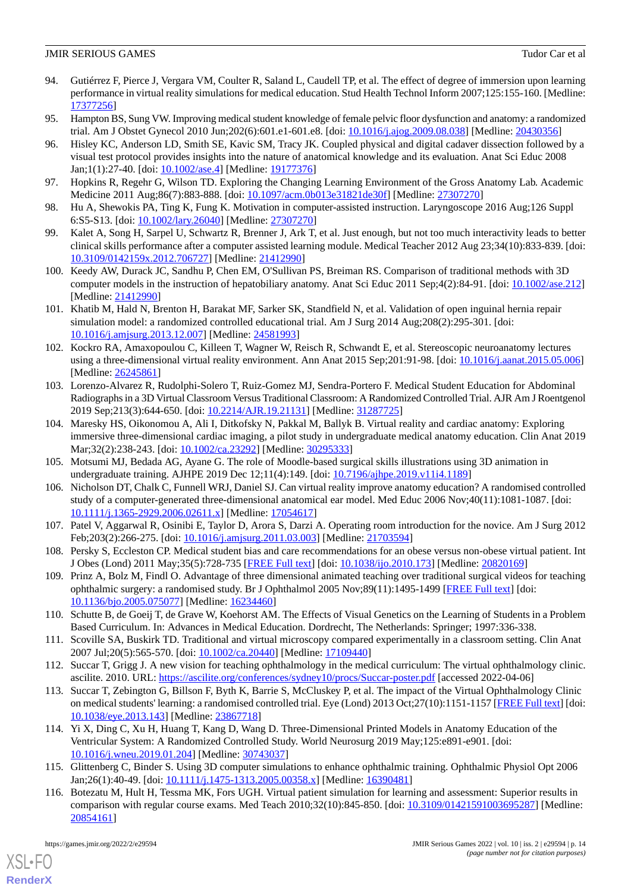- <span id="page-13-18"></span>94. Gutiérrez F, Pierce J, Vergara VM, Coulter R, Saland L, Caudell TP, et al. The effect of degree of immersion upon learning performance in virtual reality simulations for medical education. Stud Health Technol Inform 2007;125:155-160. [Medline: [17377256](http://www.ncbi.nlm.nih.gov/entrez/query.fcgi?cmd=Retrieve&db=PubMed&list_uids=17377256&dopt=Abstract)]
- <span id="page-13-22"></span><span id="page-13-5"></span>95. Hampton BS, Sung VW. Improving medical student knowledge of female pelvic floor dysfunction and anatomy: a randomized trial. Am J Obstet Gynecol 2010 Jun;202(6):601.e1-601.e8. [doi: [10.1016/j.ajog.2009.08.038](http://dx.doi.org/10.1016/j.ajog.2009.08.038)] [Medline: [20430356\]](http://www.ncbi.nlm.nih.gov/entrez/query.fcgi?cmd=Retrieve&db=PubMed&list_uids=20430356&dopt=Abstract)
- 96. Hisley KC, Anderson LD, Smith SE, Kavic SM, Tracy JK. Coupled physical and digital cadaver dissection followed by a visual test protocol provides insights into the nature of anatomical knowledge and its evaluation. Anat Sci Educ 2008 Jan;1(1):27-40. [doi: [10.1002/ase.4](http://dx.doi.org/10.1002/ase.4)] [Medline: [19177376](http://www.ncbi.nlm.nih.gov/entrez/query.fcgi?cmd=Retrieve&db=PubMed&list_uids=19177376&dopt=Abstract)]
- <span id="page-13-21"></span><span id="page-13-6"></span>97. Hopkins R, Regehr G, Wilson TD. Exploring the Changing Learning Environment of the Gross Anatomy Lab. Academic Medicine 2011 Aug;86(7):883-888. [doi: [10.1097/acm.0b013e31821de30f](http://dx.doi.org/10.1097/acm.0b013e31821de30f)] [Medline: [27307270\]](http://www.ncbi.nlm.nih.gov/entrez/query.fcgi?cmd=Retrieve&db=PubMed&list_uids=27307270&dopt=Abstract)
- <span id="page-13-14"></span>98. Hu A, Shewokis PA, Ting K, Fung K. Motivation in computer-assisted instruction. Laryngoscope 2016 Aug;126 Suppl 6:S5-S13. [doi: [10.1002/lary.26040\]](http://dx.doi.org/10.1002/lary.26040) [Medline: [27307270\]](http://www.ncbi.nlm.nih.gov/entrez/query.fcgi?cmd=Retrieve&db=PubMed&list_uids=27307270&dopt=Abstract)
- <span id="page-13-7"></span>99. Kalet A, Song H, Sarpel U, Schwartz R, Brenner J, Ark T, et al. Just enough, but not too much interactivity leads to better clinical skills performance after a computer assisted learning module. Medical Teacher 2012 Aug 23;34(10):833-839. [doi: [10.3109/0142159x.2012.706727\]](http://dx.doi.org/10.3109/0142159x.2012.706727) [Medline: [21412990\]](http://www.ncbi.nlm.nih.gov/entrez/query.fcgi?cmd=Retrieve&db=PubMed&list_uids=21412990&dopt=Abstract)
- <span id="page-13-4"></span>100. Keedy AW, Durack JC, Sandhu P, Chen EM, O'Sullivan PS, Breiman RS. Comparison of traditional methods with 3D computer models in the instruction of hepatobiliary anatomy. Anat Sci Educ 2011 Sep;4(2):84-91. [doi: [10.1002/ase.212\]](http://dx.doi.org/10.1002/ase.212) [Medline: [21412990](http://www.ncbi.nlm.nih.gov/entrez/query.fcgi?cmd=Retrieve&db=PubMed&list_uids=21412990&dopt=Abstract)]
- <span id="page-13-8"></span>101. Khatib M, Hald N, Brenton H, Barakat MF, Sarker SK, Standfield N, et al. Validation of open inguinal hernia repair simulation model: a randomized controlled educational trial. Am J Surg 2014 Aug;208(2):295-301. [doi: [10.1016/j.amjsurg.2013.12.007\]](http://dx.doi.org/10.1016/j.amjsurg.2013.12.007) [Medline: [24581993](http://www.ncbi.nlm.nih.gov/entrez/query.fcgi?cmd=Retrieve&db=PubMed&list_uids=24581993&dopt=Abstract)]
- <span id="page-13-19"></span>102. Kockro RA, Amaxopoulou C, Killeen T, Wagner W, Reisch R, Schwandt E, et al. Stereoscopic neuroanatomy lectures using a three-dimensional virtual reality environment. Ann Anat 2015 Sep;201:91-98. [doi: [10.1016/j.aanat.2015.05.006\]](http://dx.doi.org/10.1016/j.aanat.2015.05.006) [Medline: [26245861](http://www.ncbi.nlm.nih.gov/entrez/query.fcgi?cmd=Retrieve&db=PubMed&list_uids=26245861&dopt=Abstract)]
- <span id="page-13-9"></span>103. Lorenzo-Alvarez R, Rudolphi-Solero T, Ruiz-Gomez MJ, Sendra-Portero F. Medical Student Education for Abdominal Radiographs in a 3D Virtual Classroom Versus Traditional Classroom: A Randomized Controlled Trial. AJR Am J Roentgenol 2019 Sep;213(3):644-650. [doi: [10.2214/AJR.19.21131](http://dx.doi.org/10.2214/AJR.19.21131)] [Medline: [31287725\]](http://www.ncbi.nlm.nih.gov/entrez/query.fcgi?cmd=Retrieve&db=PubMed&list_uids=31287725&dopt=Abstract)
- <span id="page-13-10"></span><span id="page-13-2"></span>104. Maresky HS, Oikonomou A, Ali I, Ditkofsky N, Pakkal M, Ballyk B. Virtual reality and cardiac anatomy: Exploring immersive three-dimensional cardiac imaging, a pilot study in undergraduate medical anatomy education. Clin Anat 2019 Mar; 32(2): 238-243. [doi: 10.1002/ca. 23292] [Medline: [30295333\]](http://www.ncbi.nlm.nih.gov/entrez/query.fcgi?cmd=Retrieve&db=PubMed&list_uids=30295333&dopt=Abstract)
- <span id="page-13-16"></span>105. Motsumi MJ, Bedada AG, Ayane G. The role of Moodle-based surgical skills illustrations using 3D animation in undergraduate training. AJHPE 2019 Dec 12;11(4):149. [doi: [10.7196/ajhpe.2019.v11i4.1189\]](http://dx.doi.org/10.7196/ajhpe.2019.v11i4.1189)
- <span id="page-13-15"></span>106. Nicholson DT, Chalk C, Funnell WRJ, Daniel SJ. Can virtual reality improve anatomy education? A randomised controlled study of a computer-generated three-dimensional anatomical ear model. Med Educ 2006 Nov;40(11):1081-1087. [doi: [10.1111/j.1365-2929.2006.02611.x\]](http://dx.doi.org/10.1111/j.1365-2929.2006.02611.x) [Medline: [17054617\]](http://www.ncbi.nlm.nih.gov/entrez/query.fcgi?cmd=Retrieve&db=PubMed&list_uids=17054617&dopt=Abstract)
- <span id="page-13-11"></span>107. Patel V, Aggarwal R, Osinibi E, Taylor D, Arora S, Darzi A. Operating room introduction for the novice. Am J Surg 2012 Feb;203(2):266-275. [doi: [10.1016/j.amjsurg.2011.03.003\]](http://dx.doi.org/10.1016/j.amjsurg.2011.03.003) [Medline: [21703594](http://www.ncbi.nlm.nih.gov/entrez/query.fcgi?cmd=Retrieve&db=PubMed&list_uids=21703594&dopt=Abstract)]
- <span id="page-13-20"></span>108. Persky S, Eccleston CP. Medical student bias and care recommendations for an obese versus non-obese virtual patient. Int J Obes (Lond) 2011 May;35(5):728-735 [\[FREE Full text\]](http://europepmc.org/abstract/MED/20820169) [doi: [10.1038/ijo.2010.173\]](http://dx.doi.org/10.1038/ijo.2010.173) [Medline: [20820169\]](http://www.ncbi.nlm.nih.gov/entrez/query.fcgi?cmd=Retrieve&db=PubMed&list_uids=20820169&dopt=Abstract)
- <span id="page-13-17"></span>109. Prinz A, Bolz M, Findl O. Advantage of three dimensional animated teaching over traditional surgical videos for teaching ophthalmic surgery: a randomised study. Br J Ophthalmol 2005 Nov;89(11):1495-1499 [\[FREE Full text\]](https://bjo.bmj.com/lookup/pmidlookup?view=long&pmid=16234460) [doi: [10.1136/bjo.2005.075077\]](http://dx.doi.org/10.1136/bjo.2005.075077) [Medline: [16234460](http://www.ncbi.nlm.nih.gov/entrez/query.fcgi?cmd=Retrieve&db=PubMed&list_uids=16234460&dopt=Abstract)]
- <span id="page-13-13"></span><span id="page-13-12"></span>110. Schutte B, de Goeij T, de Grave W, Koehorst AM. The Effects of Visual Genetics on the Learning of Students in a Problem Based Curriculum. In: Advances in Medical Education. Dordrecht, The Netherlands: Springer; 1997:336-338.
- 111. Scoville SA, Buskirk TD. Traditional and virtual microscopy compared experimentally in a classroom setting. Clin Anat 2007 Jul;20(5):565-570. [doi: [10.1002/ca.20440](http://dx.doi.org/10.1002/ca.20440)] [Medline: [17109440](http://www.ncbi.nlm.nih.gov/entrez/query.fcgi?cmd=Retrieve&db=PubMed&list_uids=17109440&dopt=Abstract)]
- <span id="page-13-3"></span>112. Succar T, Grigg J. A new vision for teaching ophthalmology in the medical curriculum: The virtual ophthalmology clinic. ascilite. 2010. URL:<https://ascilite.org/conferences/sydney10/procs/Succar-poster.pdf> [accessed 2022-04-06]
- <span id="page-13-0"></span>113. Succar T, Zebington G, Billson F, Byth K, Barrie S, McCluskey P, et al. The impact of the Virtual Ophthalmology Clinic on medical students' learning: a randomised controlled trial. Eye (Lond) 2013 Oct;27(10):1151-1157 [\[FREE Full text](http://europepmc.org/abstract/MED/23867718)] [doi: [10.1038/eye.2013.143\]](http://dx.doi.org/10.1038/eye.2013.143) [Medline: [23867718](http://www.ncbi.nlm.nih.gov/entrez/query.fcgi?cmd=Retrieve&db=PubMed&list_uids=23867718&dopt=Abstract)]
- <span id="page-13-1"></span>114. Yi X, Ding C, Xu H, Huang T, Kang D, Wang D. Three-Dimensional Printed Models in Anatomy Education of the Ventricular System: A Randomized Controlled Study. World Neurosurg 2019 May;125:e891-e901. [doi: [10.1016/j.wneu.2019.01.204](http://dx.doi.org/10.1016/j.wneu.2019.01.204)] [Medline: [30743037](http://www.ncbi.nlm.nih.gov/entrez/query.fcgi?cmd=Retrieve&db=PubMed&list_uids=30743037&dopt=Abstract)]
- 115. Glittenberg C, Binder S. Using 3D computer simulations to enhance ophthalmic training. Ophthalmic Physiol Opt 2006 Jan;26(1):40-49. [doi: [10.1111/j.1475-1313.2005.00358.x](http://dx.doi.org/10.1111/j.1475-1313.2005.00358.x)] [Medline: [16390481\]](http://www.ncbi.nlm.nih.gov/entrez/query.fcgi?cmd=Retrieve&db=PubMed&list_uids=16390481&dopt=Abstract)
- 116. Botezatu M, Hult H, Tessma MK, Fors UGH. Virtual patient simulation for learning and assessment: Superior results in comparison with regular course exams. Med Teach 2010;32(10):845-850. [doi: [10.3109/01421591003695287\]](http://dx.doi.org/10.3109/01421591003695287) [Medline: [20854161](http://www.ncbi.nlm.nih.gov/entrez/query.fcgi?cmd=Retrieve&db=PubMed&list_uids=20854161&dopt=Abstract)]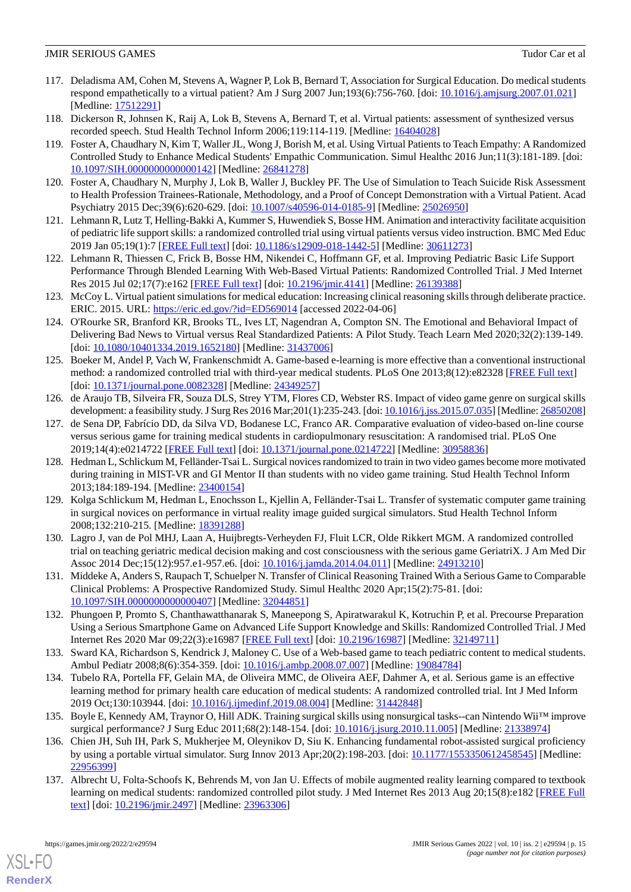- <span id="page-14-12"></span>117. Deladisma AM, Cohen M, Stevens A, Wagner P, Lok B, Bernard T, Association for Surgical Education. Do medical students respond empathetically to a virtual patient? Am J Surg 2007 Jun;193(6):756-760. [doi: [10.1016/j.amjsurg.2007.01.021\]](http://dx.doi.org/10.1016/j.amjsurg.2007.01.021) [Medline: [17512291](http://www.ncbi.nlm.nih.gov/entrez/query.fcgi?cmd=Retrieve&db=PubMed&list_uids=17512291&dopt=Abstract)]
- <span id="page-14-13"></span><span id="page-14-8"></span>118. Dickerson R, Johnsen K, Raij A, Lok B, Stevens A, Bernard T, et al. Virtual patients: assessment of synthesized versus recorded speech. Stud Health Technol Inform 2006;119:114-119. [Medline: [16404028\]](http://www.ncbi.nlm.nih.gov/entrez/query.fcgi?cmd=Retrieve&db=PubMed&list_uids=16404028&dopt=Abstract)
- 119. Foster A, Chaudhary N, Kim T, Waller JL, Wong J, Borish M, et al. Using Virtual Patients to Teach Empathy: A Randomized Controlled Study to Enhance Medical Students' Empathic Communication. Simul Healthc 2016 Jun;11(3):181-189. [doi: [10.1097/SIH.0000000000000142](http://dx.doi.org/10.1097/SIH.0000000000000142)] [Medline: [26841278](http://www.ncbi.nlm.nih.gov/entrez/query.fcgi?cmd=Retrieve&db=PubMed&list_uids=26841278&dopt=Abstract)]
- <span id="page-14-14"></span><span id="page-14-9"></span>120. Foster A, Chaudhary N, Murphy J, Lok B, Waller J, Buckley PF. The Use of Simulation to Teach Suicide Risk Assessment to Health Profession Trainees-Rationale, Methodology, and a Proof of Concept Demonstration with a Virtual Patient. Acad Psychiatry 2015 Dec;39(6):620-629. [doi: [10.1007/s40596-014-0185-9\]](http://dx.doi.org/10.1007/s40596-014-0185-9) [Medline: [25026950\]](http://www.ncbi.nlm.nih.gov/entrez/query.fcgi?cmd=Retrieve&db=PubMed&list_uids=25026950&dopt=Abstract)
- <span id="page-14-15"></span>121. Lehmann R, Lutz T, Helling-Bakki A, Kummer S, Huwendiek S, Bosse HM. Animation and interactivity facilitate acquisition of pediatric life support skills: a randomized controlled trial using virtual patients versus video instruction. BMC Med Educ 2019 Jan 05;19(1):7 [[FREE Full text](https://bmcmededuc.biomedcentral.com/articles/10.1186/s12909-018-1442-5)] [doi: [10.1186/s12909-018-1442-5\]](http://dx.doi.org/10.1186/s12909-018-1442-5) [Medline: [30611273](http://www.ncbi.nlm.nih.gov/entrez/query.fcgi?cmd=Retrieve&db=PubMed&list_uids=30611273&dopt=Abstract)]
- <span id="page-14-16"></span>122. Lehmann R, Thiessen C, Frick B, Bosse HM, Nikendei C, Hoffmann GF, et al. Improving Pediatric Basic Life Support Performance Through Blended Learning With Web-Based Virtual Patients: Randomized Controlled Trial. J Med Internet Res 2015 Jul 02;17(7):e162 [\[FREE Full text\]](https://www.jmir.org/2015/7/e162/) [doi: [10.2196/jmir.4141\]](http://dx.doi.org/10.2196/jmir.4141) [Medline: [26139388](http://www.ncbi.nlm.nih.gov/entrez/query.fcgi?cmd=Retrieve&db=PubMed&list_uids=26139388&dopt=Abstract)]
- <span id="page-14-0"></span>123. McCoy L. Virtual patient simulations for medical education: Increasing clinical reasoning skills through deliberate practice. ERIC. 2015. URL: <https://eric.ed.gov/?id=ED569014> [accessed 2022-04-06]
- <span id="page-14-1"></span>124. O'Rourke SR, Branford KR, Brooks TL, Ives LT, Nagendran A, Compton SN. The Emotional and Behavioral Impact of Delivering Bad News to Virtual versus Real Standardized Patients: A Pilot Study. Teach Learn Med 2020;32(2):139-149. [doi: [10.1080/10401334.2019.1652180](http://dx.doi.org/10.1080/10401334.2019.1652180)] [Medline: [31437006\]](http://www.ncbi.nlm.nih.gov/entrez/query.fcgi?cmd=Retrieve&db=PubMed&list_uids=31437006&dopt=Abstract)
- <span id="page-14-4"></span>125. Boeker M, Andel P, Vach W, Frankenschmidt A. Game-based e-learning is more effective than a conventional instructional method: a randomized controlled trial with third-year medical students. PLoS One 2013;8(12):e82328 [[FREE Full text](https://dx.plos.org/10.1371/journal.pone.0082328)] [doi: [10.1371/journal.pone.0082328\]](http://dx.doi.org/10.1371/journal.pone.0082328) [Medline: [24349257\]](http://www.ncbi.nlm.nih.gov/entrez/query.fcgi?cmd=Retrieve&db=PubMed&list_uids=24349257&dopt=Abstract)
- <span id="page-14-5"></span>126. de Araujo TB, Silveira FR, Souza DLS, Strey YTM, Flores CD, Webster RS. Impact of video game genre on surgical skills development: a feasibility study. J Surg Res 2016 Mar;201(1):235-243. [doi: [10.1016/j.jss.2015.07.035](http://dx.doi.org/10.1016/j.jss.2015.07.035)] [Medline: [26850208](http://www.ncbi.nlm.nih.gov/entrez/query.fcgi?cmd=Retrieve&db=PubMed&list_uids=26850208&dopt=Abstract)]
- <span id="page-14-10"></span>127. de Sena DP, Fabrício DD, da Silva VD, Bodanese LC, Franco AR. Comparative evaluation of video-based on-line course versus serious game for training medical students in cardiopulmonary resuscitation: A randomised trial. PLoS One 2019;14(4):e0214722 [\[FREE Full text](https://dx.plos.org/10.1371/journal.pone.0214722)] [doi: [10.1371/journal.pone.0214722\]](http://dx.doi.org/10.1371/journal.pone.0214722) [Medline: [30958836\]](http://www.ncbi.nlm.nih.gov/entrez/query.fcgi?cmd=Retrieve&db=PubMed&list_uids=30958836&dopt=Abstract)
- <span id="page-14-17"></span>128. Hedman L, Schlickum M, Felländer-Tsai L. Surgical novices randomized to train in two video games become more motivated during training in MIST-VR and GI Mentor II than students with no video game training. Stud Health Technol Inform 2013;184:189-194. [Medline: [23400154](http://www.ncbi.nlm.nih.gov/entrez/query.fcgi?cmd=Retrieve&db=PubMed&list_uids=23400154&dopt=Abstract)]
- <span id="page-14-19"></span><span id="page-14-18"></span>129. Kolga Schlickum M, Hedman L, Enochsson L, Kjellin A, Felländer-Tsai L. Transfer of systematic computer game training in surgical novices on performance in virtual reality image guided surgical simulators. Stud Health Technol Inform 2008;132:210-215. [Medline: [18391288](http://www.ncbi.nlm.nih.gov/entrez/query.fcgi?cmd=Retrieve&db=PubMed&list_uids=18391288&dopt=Abstract)]
- <span id="page-14-6"></span>130. Lagro J, van de Pol MHJ, Laan A, Huijbregts-Verheyden FJ, Fluit LCR, Olde Rikkert MGM. A randomized controlled trial on teaching geriatric medical decision making and cost consciousness with the serious game GeriatriX. J Am Med Dir Assoc 2014 Dec;15(12):957.e1-957.e6. [doi: [10.1016/j.jamda.2014.04.011](http://dx.doi.org/10.1016/j.jamda.2014.04.011)] [Medline: [24913210](http://www.ncbi.nlm.nih.gov/entrez/query.fcgi?cmd=Retrieve&db=PubMed&list_uids=24913210&dopt=Abstract)]
- <span id="page-14-11"></span>131. Middeke A, Anders S, Raupach T, Schuelper N. Transfer of Clinical Reasoning Trained With a Serious Game to Comparable Clinical Problems: A Prospective Randomized Study. Simul Healthc 2020 Apr;15(2):75-81. [doi: [10.1097/SIH.0000000000000407](http://dx.doi.org/10.1097/SIH.0000000000000407)] [Medline: [32044851](http://www.ncbi.nlm.nih.gov/entrez/query.fcgi?cmd=Retrieve&db=PubMed&list_uids=32044851&dopt=Abstract)]
- <span id="page-14-7"></span>132. Phungoen P, Promto S, Chanthawatthanarak S, Maneepong S, Apiratwarakul K, Kotruchin P, et al. Precourse Preparation Using a Serious Smartphone Game on Advanced Life Support Knowledge and Skills: Randomized Controlled Trial. J Med Internet Res 2020 Mar 09;22(3):e16987 [[FREE Full text](https://www.jmir.org/2020/3/e16987/)] [doi: [10.2196/16987\]](http://dx.doi.org/10.2196/16987) [Medline: [32149711\]](http://www.ncbi.nlm.nih.gov/entrez/query.fcgi?cmd=Retrieve&db=PubMed&list_uids=32149711&dopt=Abstract)
- <span id="page-14-20"></span>133. Sward KA, Richardson S, Kendrick J, Maloney C. Use of a Web-based game to teach pediatric content to medical students. Ambul Pediatr 2008;8(6):354-359. [doi: [10.1016/j.ambp.2008.07.007\]](http://dx.doi.org/10.1016/j.ambp.2008.07.007) [Medline: [19084784](http://www.ncbi.nlm.nih.gov/entrez/query.fcgi?cmd=Retrieve&db=PubMed&list_uids=19084784&dopt=Abstract)]
- <span id="page-14-2"></span>134. Tubelo RA, Portella FF, Gelain MA, de Oliveira MMC, de Oliveira AEF, Dahmer A, et al. Serious game is an effective learning method for primary health care education of medical students: A randomized controlled trial. Int J Med Inform 2019 Oct;130:103944. [doi: [10.1016/j.ijmedinf.2019.08.004](http://dx.doi.org/10.1016/j.ijmedinf.2019.08.004)] [Medline: [31442848](http://www.ncbi.nlm.nih.gov/entrez/query.fcgi?cmd=Retrieve&db=PubMed&list_uids=31442848&dopt=Abstract)]
- <span id="page-14-3"></span>135. Boyle E, Kennedy AM, Traynor O, Hill ADK. Training surgical skills using nonsurgical tasks--can Nintendo Wii™ improve surgical performance? J Surg Educ 2011;68(2):148-154. [doi: [10.1016/j.jsurg.2010.11.005](http://dx.doi.org/10.1016/j.jsurg.2010.11.005)] [Medline: [21338974](http://www.ncbi.nlm.nih.gov/entrez/query.fcgi?cmd=Retrieve&db=PubMed&list_uids=21338974&dopt=Abstract)]
- 136. Chien JH, Suh IH, Park S, Mukherjee M, Oleynikov D, Siu K. Enhancing fundamental robot-assisted surgical proficiency by using a portable virtual simulator. Surg Innov 2013 Apr;20(2):198-203. [doi: [10.1177/1553350612458545](http://dx.doi.org/10.1177/1553350612458545)] [Medline: [22956399](http://www.ncbi.nlm.nih.gov/entrez/query.fcgi?cmd=Retrieve&db=PubMed&list_uids=22956399&dopt=Abstract)]
- 137. Albrecht U, Folta-Schoofs K, Behrends M, von Jan U. Effects of mobile augmented reality learning compared to textbook learning on medical students: randomized controlled pilot study. J Med Internet Res 2013 Aug 20;15(8):e182 [\[FREE Full](https://www.jmir.org/2013/8/e182/) [text](https://www.jmir.org/2013/8/e182/)] [doi: [10.2196/jmir.2497](http://dx.doi.org/10.2196/jmir.2497)] [Medline: [23963306](http://www.ncbi.nlm.nih.gov/entrez/query.fcgi?cmd=Retrieve&db=PubMed&list_uids=23963306&dopt=Abstract)]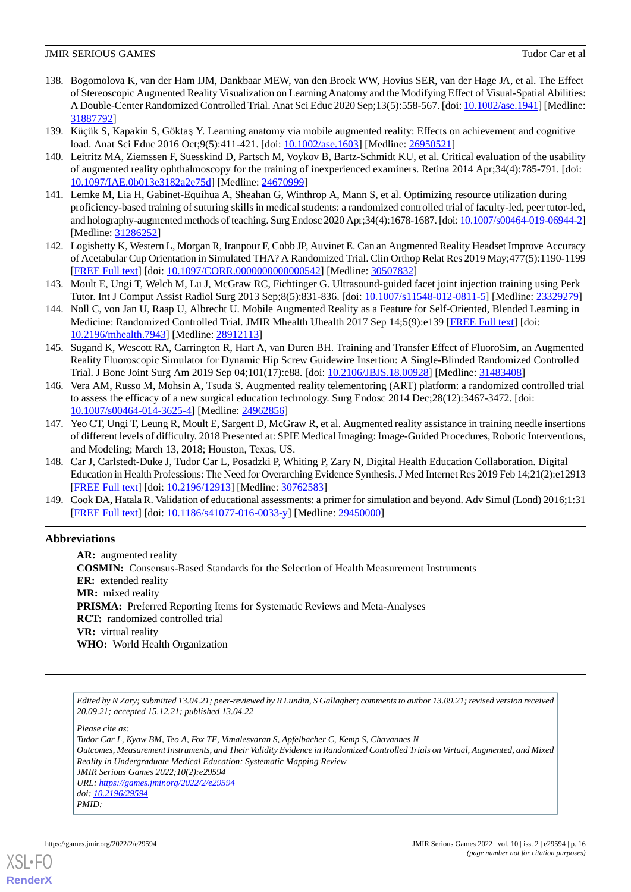- <span id="page-15-9"></span>138. Bogomolova K, van der Ham IJM, Dankbaar MEW, van den Broek WW, Hovius SER, van der Hage JA, et al. The Effect of Stereoscopic Augmented Reality Visualization on Learning Anatomy and the Modifying Effect of Visual-Spatial Abilities: A Double-Center Randomized Controlled Trial. Anat Sci Educ 2020 Sep;13(5):558-567. [doi: [10.1002/ase.1941](http://dx.doi.org/10.1002/ase.1941)] [Medline: [31887792](http://www.ncbi.nlm.nih.gov/entrez/query.fcgi?cmd=Retrieve&db=PubMed&list_uids=31887792&dopt=Abstract)]
- <span id="page-15-5"></span><span id="page-15-1"></span>139. Küçük S, Kapakin S, Göktaş Y. Learning anatomy via mobile augmented reality: Effects on achievement and cognitive load. Anat Sci Educ 2016 Oct;9(5):411-421. [doi: [10.1002/ase.1603](http://dx.doi.org/10.1002/ase.1603)] [Medline: [26950521](http://www.ncbi.nlm.nih.gov/entrez/query.fcgi?cmd=Retrieve&db=PubMed&list_uids=26950521&dopt=Abstract)]
- <span id="page-15-6"></span>140. Leitritz MA, Ziemssen F, Suesskind D, Partsch M, Voykov B, Bartz-Schmidt KU, et al. Critical evaluation of the usability of augmented reality ophthalmoscopy for the training of inexperienced examiners. Retina 2014 Apr;34(4):785-791. [doi: [10.1097/IAE.0b013e3182a2e75d](http://dx.doi.org/10.1097/IAE.0b013e3182a2e75d)] [Medline: [24670999](http://www.ncbi.nlm.nih.gov/entrez/query.fcgi?cmd=Retrieve&db=PubMed&list_uids=24670999&dopt=Abstract)]
- 141. Lemke M, Lia H, Gabinet-Equihua A, Sheahan G, Winthrop A, Mann S, et al. Optimizing resource utilization during proficiency-based training of suturing skills in medical students: a randomized controlled trial of faculty-led, peer tutor-led, and holography-augmented methods of teaching. Surg Endosc 2020 Apr;34(4):1678-1687. [doi: [10.1007/s00464-019-06944-2](http://dx.doi.org/10.1007/s00464-019-06944-2)] [Medline: [31286252](http://www.ncbi.nlm.nih.gov/entrez/query.fcgi?cmd=Retrieve&db=PubMed&list_uids=31286252&dopt=Abstract)]
- <span id="page-15-3"></span><span id="page-15-2"></span>142. Logishetty K, Western L, Morgan R, Iranpour F, Cobb JP, Auvinet E. Can an Augmented Reality Headset Improve Accuracy of Acetabular Cup Orientation in Simulated THA? A Randomized Trial. Clin Orthop Relat Res 2019 May;477(5):1190-1199 [[FREE Full text](http://europepmc.org/abstract/MED/30507832)] [doi: [10.1097/CORR.0000000000000542](http://dx.doi.org/10.1097/CORR.0000000000000542)] [Medline: [30507832](http://www.ncbi.nlm.nih.gov/entrez/query.fcgi?cmd=Retrieve&db=PubMed&list_uids=30507832&dopt=Abstract)]
- <span id="page-15-4"></span>143. Moult E, Ungi T, Welch M, Lu J, McGraw RC, Fichtinger G. Ultrasound-guided facet joint injection training using Perk Tutor. Int J Comput Assist Radiol Surg 2013 Sep;8(5):831-836. [doi: [10.1007/s11548-012-0811-5](http://dx.doi.org/10.1007/s11548-012-0811-5)] [Medline: [23329279](http://www.ncbi.nlm.nih.gov/entrez/query.fcgi?cmd=Retrieve&db=PubMed&list_uids=23329279&dopt=Abstract)]
- <span id="page-15-7"></span>144. Noll C, von Jan U, Raap U, Albrecht U. Mobile Augmented Reality as a Feature for Self-Oriented, Blended Learning in Medicine: Randomized Controlled Trial. JMIR Mhealth Uhealth 2017 Sep 14;5(9):e139 [[FREE Full text](https://mhealth.jmir.org/2017/9/e139/)] [doi: [10.2196/mhealth.7943](http://dx.doi.org/10.2196/mhealth.7943)] [Medline: [28912113](http://www.ncbi.nlm.nih.gov/entrez/query.fcgi?cmd=Retrieve&db=PubMed&list_uids=28912113&dopt=Abstract)]
- <span id="page-15-8"></span>145. Sugand K, Wescott RA, Carrington R, Hart A, van Duren BH. Training and Transfer Effect of FluoroSim, an Augmented Reality Fluoroscopic Simulator for Dynamic Hip Screw Guidewire Insertion: A Single-Blinded Randomized Controlled Trial. J Bone Joint Surg Am 2019 Sep 04;101(17):e88. [doi: [10.2106/JBJS.18.00928\]](http://dx.doi.org/10.2106/JBJS.18.00928) [Medline: [31483408](http://www.ncbi.nlm.nih.gov/entrez/query.fcgi?cmd=Retrieve&db=PubMed&list_uids=31483408&dopt=Abstract)]
- <span id="page-15-0"></span>146. Vera AM, Russo M, Mohsin A, Tsuda S. Augmented reality telementoring (ART) platform: a randomized controlled trial to assess the efficacy of a new surgical education technology. Surg Endosc 2014 Dec;28(12):3467-3472. [doi: [10.1007/s00464-014-3625-4\]](http://dx.doi.org/10.1007/s00464-014-3625-4) [Medline: [24962856](http://www.ncbi.nlm.nih.gov/entrez/query.fcgi?cmd=Retrieve&db=PubMed&list_uids=24962856&dopt=Abstract)]
- <span id="page-15-10"></span>147. Yeo CT, Ungi T, Leung R, Moult E, Sargent D, McGraw R, et al. Augmented reality assistance in training needle insertions of different levels of difficulty. 2018 Presented at: SPIE Medical Imaging: Image-Guided Procedures, Robotic Interventions, and Modeling; March 13, 2018; Houston, Texas, US.
- <span id="page-15-11"></span>148. Car J, Carlstedt-Duke J, Tudor Car L, Posadzki P, Whiting P, Zary N, Digital Health Education Collaboration. Digital Education in Health Professions: The Need for Overarching Evidence Synthesis. J Med Internet Res 2019 Feb 14;21(2):e12913 [[FREE Full text](https://www.jmir.org/2019/2/e12913/)] [doi: [10.2196/12913\]](http://dx.doi.org/10.2196/12913) [Medline: [30762583\]](http://www.ncbi.nlm.nih.gov/entrez/query.fcgi?cmd=Retrieve&db=PubMed&list_uids=30762583&dopt=Abstract)
- 149. Cook DA, Hatala R. Validation of educational assessments: a primer for simulation and beyond. Adv Simul (Lond) 2016;1:31 [[FREE Full text](https://advancesinsimulation.biomedcentral.com/articles/10.1186/s41077-016-0033-y)] [doi: [10.1186/s41077-016-0033-y\]](http://dx.doi.org/10.1186/s41077-016-0033-y) [Medline: [29450000](http://www.ncbi.nlm.nih.gov/entrez/query.fcgi?cmd=Retrieve&db=PubMed&list_uids=29450000&dopt=Abstract)]

# **Abbreviations**

**AR:** augmented reality **COSMIN:** Consensus-Based Standards for the Selection of Health Measurement Instruments **ER:** extended reality **MR:** mixed reality PRISMA: Preferred Reporting Items for Systematic Reviews and Meta-Analyses **RCT:** randomized controlled trial **VR:** virtual reality **WHO:** World Health Organization

*Edited by N Zary; submitted 13.04.21; peer-reviewed by R Lundin, S Gallagher; comments to author 13.09.21; revised version received 20.09.21; accepted 15.12.21; published 13.04.22*

*Please cite as:*

*Tudor Car L, Kyaw BM, Teo A, Fox TE, Vimalesvaran S, Apfelbacher C, Kemp S, Chavannes N Outcomes, Measurement Instruments, and Their Validity Evidence in Randomized Controlled Trials on Virtual, Augmented, and Mixed Reality in Undergraduate Medical Education: Systematic Mapping Review JMIR Serious Games 2022;10(2):e29594 URL: <https://games.jmir.org/2022/2/e29594> doi: [10.2196/29594](http://dx.doi.org/10.2196/29594) PMID:*